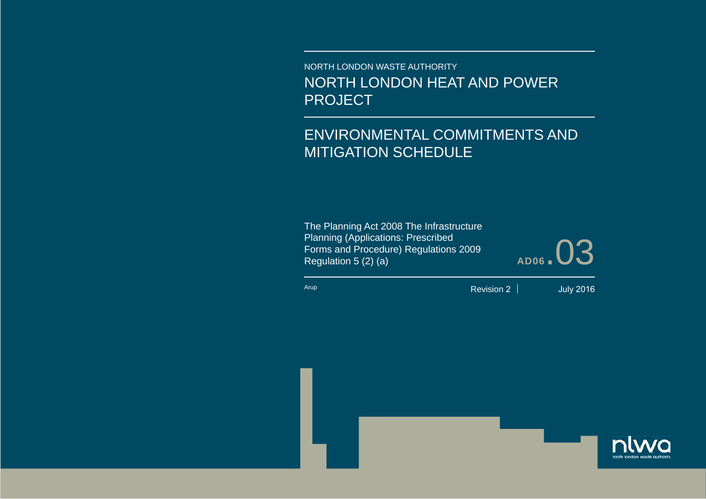NORTH LONDON WASTE AUTHORITY NORTH LONDON HEAT AND POWER PROJECT

# ENVIRONMENTAL COMMITMENTS AND MITIGATION SCHEDULE

The Planning Act 2008 The Infrastructure Planning (Applications: Prescribed Forms and Procedure) Regulations 2009 Regulation 5 (2) (a) **AD06**.03

Arup

Revision 2

July 2016



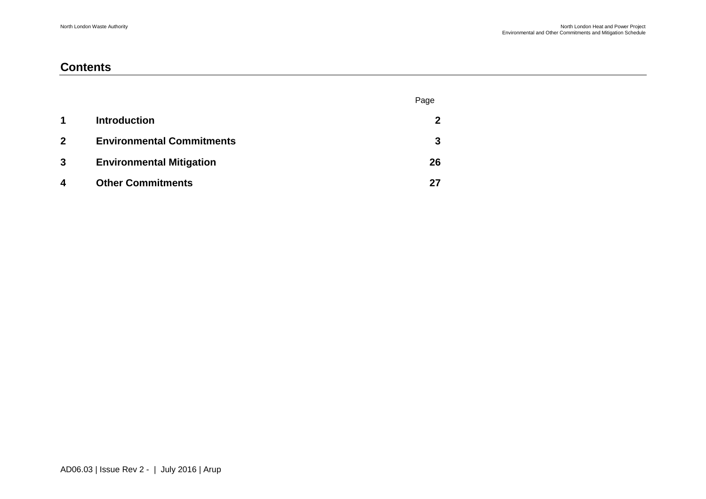### **Contents**

|                         |                                  | Page |
|-------------------------|----------------------------------|------|
| $\blacktriangleleft$    | <b>Introduction</b>              | 2    |
| $\mathbf{2}$            | <b>Environmental Commitments</b> | 3    |
| $\mathbf{3}$            | <b>Environmental Mitigation</b>  | 26   |
| $\overline{\mathbf{4}}$ | <b>Other Commitments</b>         | 27   |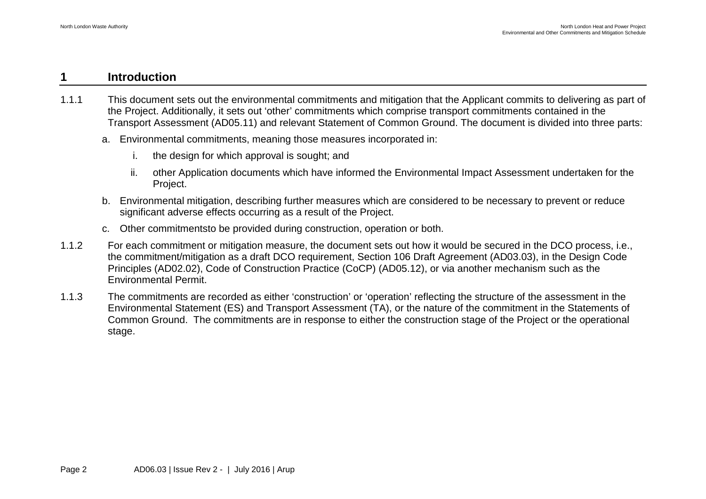#### <span id="page-2-0"></span>**1 Introduction**

- 1.1.1 This document sets out the environmental commitments and mitigation that the Applicant commits to delivering as part of the Project. Additionally, it sets out 'other' commitments which comprise transport commitments contained in the Transport Assessment (AD05.11) and relevant Statement of Common Ground. The document is divided into three parts:
	- a. Environmental commitments, meaning those measures incorporated in:
		- i. the design for which approval is sought; and
		- ii. other Application documents which have informed the Environmental Impact Assessment undertaken for the Project.
	- b. Environmental mitigation, describing further measures which are considered to be necessary to prevent or reduce significant adverse effects occurring as a result of the Project.
	- c. Other commitmentsto be provided during construction, operation or both.
- 1.1.2 For each commitment or mitigation measure, the document sets out how it would be secured in the DCO process, i.e., the commitment/mitigation as a draft DCO requirement, Section 106 Draft Agreement (AD03.03), in the Design Code Principles (AD02.02), Code of Construction Practice (CoCP) (AD05.12), or via another mechanism such as the Environmental Permit.
- 1.1.3 The commitments are recorded as either 'construction' or 'operation' reflecting the structure of the assessment in the Environmental Statement (ES) and Transport Assessment (TA), or the nature of the commitment in the Statements of Common Ground. The commitments are in response to either the construction stage of the Project or the operational stage.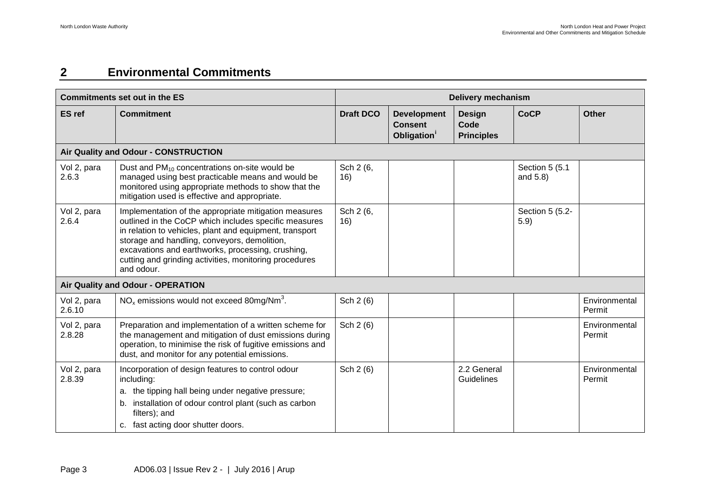### <span id="page-3-0"></span>**2 Environmental Commitments**

|                       | <b>Commitments set out in the ES</b>                                                                                                                                                                                                                                                                                                                   | <b>Delivery mechanism</b> |                                                                 |                                            |                            |                         |
|-----------------------|--------------------------------------------------------------------------------------------------------------------------------------------------------------------------------------------------------------------------------------------------------------------------------------------------------------------------------------------------------|---------------------------|-----------------------------------------------------------------|--------------------------------------------|----------------------------|-------------------------|
| <b>ES</b> ref         | <b>Commitment</b>                                                                                                                                                                                                                                                                                                                                      | <b>Draft DCO</b>          | <b>Development</b><br><b>Consent</b><br>Obligation <sup>1</sup> | <b>Design</b><br>Code<br><b>Principles</b> | <b>CoCP</b>                | <b>Other</b>            |
|                       | Air Quality and Odour - CONSTRUCTION                                                                                                                                                                                                                                                                                                                   |                           |                                                                 |                                            |                            |                         |
| Vol 2, para<br>2.6.3  | Dust and $PM_{10}$ concentrations on-site would be<br>managed using best practicable means and would be<br>monitored using appropriate methods to show that the<br>mitigation used is effective and appropriate.                                                                                                                                       | Sch 2 (6,<br>16)          |                                                                 |                                            | Section 5 (5.1<br>and 5.8) |                         |
| Vol 2, para<br>2.6.4  | Implementation of the appropriate mitigation measures<br>outlined in the CoCP which includes specific measures<br>in relation to vehicles, plant and equipment, transport<br>storage and handling, conveyors, demolition,<br>excavations and earthworks, processing, crushing,<br>cutting and grinding activities, monitoring procedures<br>and odour. | Sch 2 (6,<br>16)          |                                                                 |                                            | Section 5 (5.2-<br>5.9)    |                         |
|                       | Air Quality and Odour - OPERATION                                                                                                                                                                                                                                                                                                                      |                           |                                                                 |                                            |                            |                         |
| Vol 2, para<br>2.6.10 | $NOx$ emissions would not exceed 80mg/Nm <sup>3</sup> .                                                                                                                                                                                                                                                                                                | Sch 2 (6)                 |                                                                 |                                            |                            | Environmental<br>Permit |
| Vol 2, para<br>2.8.28 | Preparation and implementation of a written scheme for<br>the management and mitigation of dust emissions during<br>operation, to minimise the risk of fugitive emissions and<br>dust, and monitor for any potential emissions.                                                                                                                        | Sch 2 (6)                 |                                                                 |                                            |                            | Environmental<br>Permit |
| Vol 2, para<br>2.8.39 | Incorporation of design features to control odour<br>including:<br>a. the tipping hall being under negative pressure;<br>installation of odour control plant (such as carbon<br>b.<br>filters); and<br>c. fast acting door shutter doors.                                                                                                              | Sch 2 (6)                 |                                                                 | 2.2 General<br>Guidelines                  |                            | Environmental<br>Permit |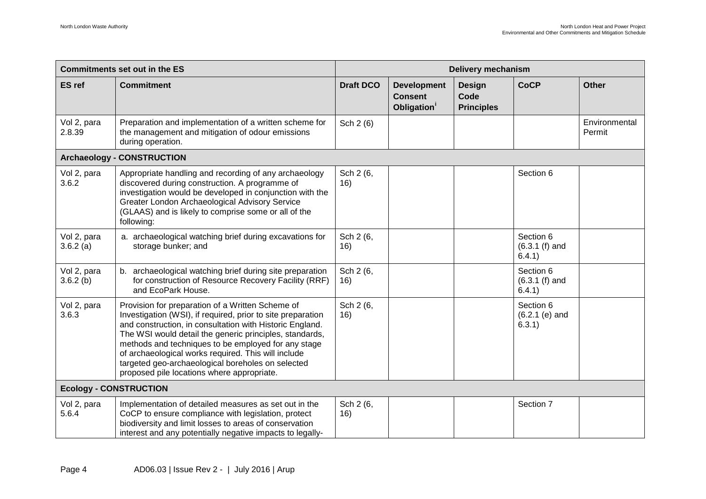|                         | <b>Commitments set out in the ES</b>                                                                                                                                                                                                                                                                                                                                                                                                                    | <b>Delivery mechanism</b> |                                                                 |                                            |                                         |                         |
|-------------------------|---------------------------------------------------------------------------------------------------------------------------------------------------------------------------------------------------------------------------------------------------------------------------------------------------------------------------------------------------------------------------------------------------------------------------------------------------------|---------------------------|-----------------------------------------------------------------|--------------------------------------------|-----------------------------------------|-------------------------|
| <b>ES</b> ref           | <b>Commitment</b>                                                                                                                                                                                                                                                                                                                                                                                                                                       | <b>Draft DCO</b>          | <b>Development</b><br><b>Consent</b><br>Obligation <sup>1</sup> | <b>Design</b><br>Code<br><b>Principles</b> | <b>CoCP</b>                             | <b>Other</b>            |
| Vol 2, para<br>2.8.39   | Preparation and implementation of a written scheme for<br>the management and mitigation of odour emissions<br>during operation.                                                                                                                                                                                                                                                                                                                         | Sch 2 (6)                 |                                                                 |                                            |                                         | Environmental<br>Permit |
|                         | <b>Archaeology - CONSTRUCTION</b>                                                                                                                                                                                                                                                                                                                                                                                                                       |                           |                                                                 |                                            |                                         |                         |
| Vol 2, para<br>3.6.2    | Appropriate handling and recording of any archaeology<br>discovered during construction. A programme of<br>investigation would be developed in conjunction with the<br>Greater London Archaeological Advisory Service<br>(GLAAS) and is likely to comprise some or all of the<br>following:                                                                                                                                                             | Sch 2 (6,<br>16)          |                                                                 |                                            | Section 6                               |                         |
| Vol 2, para<br>3.6.2(a) | a. archaeological watching brief during excavations for<br>storage bunker; and                                                                                                                                                                                                                                                                                                                                                                          | Sch 2 (6,<br>16)          |                                                                 |                                            | Section 6<br>$(6.3.1(f)$ and<br>6.4.1)  |                         |
| Vol 2, para<br>3.6.2(b) | b. archaeological watching brief during site preparation<br>for construction of Resource Recovery Facility (RRF)<br>and EcoPark House.                                                                                                                                                                                                                                                                                                                  | Sch 2 (6,<br>16)          |                                                                 |                                            | Section 6<br>$(6.3.1(f)$ and<br>6.4.1)  |                         |
| Vol 2, para<br>3.6.3    | Provision for preparation of a Written Scheme of<br>Investigation (WSI), if required, prior to site preparation<br>and construction, in consultation with Historic England.<br>The WSI would detail the generic principles, standards,<br>methods and techniques to be employed for any stage<br>of archaeological works required. This will include<br>targeted geo-archaeological boreholes on selected<br>proposed pile locations where appropriate. | Sch 2 (6,<br>16)          |                                                                 |                                            | Section 6<br>$(6.2.1 (e)$ and<br>6.3.1) |                         |
|                         | <b>Ecology - CONSTRUCTION</b>                                                                                                                                                                                                                                                                                                                                                                                                                           |                           |                                                                 |                                            |                                         |                         |
| Vol 2, para<br>5.6.4    | Implementation of detailed measures as set out in the<br>CoCP to ensure compliance with legislation, protect<br>biodiversity and limit losses to areas of conservation<br>interest and any potentially negative impacts to legally-                                                                                                                                                                                                                     | Sch 2 (6,<br>16)          |                                                                 |                                            | Section 7                               |                         |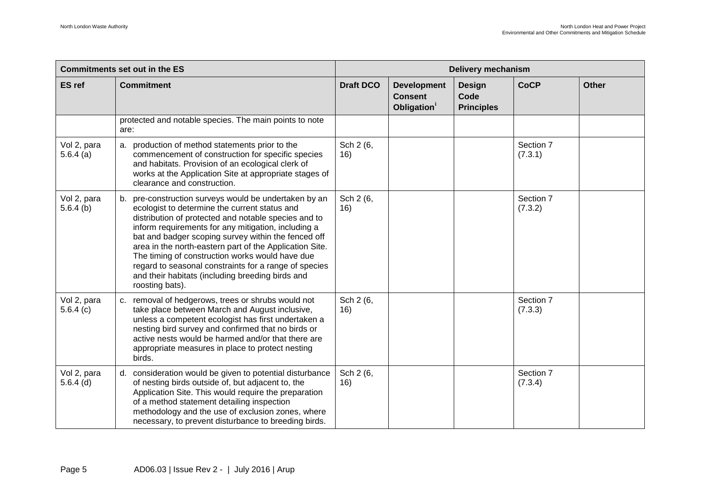|                            | <b>Commitments set out in the ES</b>                                                                                                                                                                                                                                                                                                                                                                                                                                                                                       |                  | <b>Delivery mechanism</b>                                       |                                            |                      |              |  |
|----------------------------|----------------------------------------------------------------------------------------------------------------------------------------------------------------------------------------------------------------------------------------------------------------------------------------------------------------------------------------------------------------------------------------------------------------------------------------------------------------------------------------------------------------------------|------------------|-----------------------------------------------------------------|--------------------------------------------|----------------------|--------------|--|
| <b>ES</b> ref              | <b>Commitment</b>                                                                                                                                                                                                                                                                                                                                                                                                                                                                                                          | <b>Draft DCO</b> | <b>Development</b><br><b>Consent</b><br>Obligation <sup>i</sup> | <b>Design</b><br>Code<br><b>Principles</b> | <b>CoCP</b>          | <b>Other</b> |  |
|                            | protected and notable species. The main points to note<br>are:                                                                                                                                                                                                                                                                                                                                                                                                                                                             |                  |                                                                 |                                            |                      |              |  |
| Vol 2, para<br>5.6.4(a)    | a. production of method statements prior to the<br>commencement of construction for specific species<br>and habitats. Provision of an ecological clerk of<br>works at the Application Site at appropriate stages of<br>clearance and construction.                                                                                                                                                                                                                                                                         | Sch 2 (6,<br>16) |                                                                 |                                            | Section 7<br>(7.3.1) |              |  |
| Vol 2, para<br>$5.6.4$ (b) | b. pre-construction surveys would be undertaken by an<br>ecologist to determine the current status and<br>distribution of protected and notable species and to<br>inform requirements for any mitigation, including a<br>bat and badger scoping survey within the fenced off<br>area in the north-eastern part of the Application Site.<br>The timing of construction works would have due<br>regard to seasonal constraints for a range of species<br>and their habitats (including breeding birds and<br>roosting bats). | Sch 2 (6,<br>16) |                                                                 |                                            | Section 7<br>(7.3.2) |              |  |
| Vol 2, para<br>5.6.4(c)    | c. removal of hedgerows, trees or shrubs would not<br>take place between March and August inclusive,<br>unless a competent ecologist has first undertaken a<br>nesting bird survey and confirmed that no birds or<br>active nests would be harmed and/or that there are<br>appropriate measures in place to protect nesting<br>birds.                                                                                                                                                                                      | Sch 2 (6,<br>16) |                                                                 |                                            | Section 7<br>(7.3.3) |              |  |
| Vol 2, para<br>$5.6.4$ (d) | d. consideration would be given to potential disturbance<br>of nesting birds outside of, but adjacent to, the<br>Application Site. This would require the preparation<br>of a method statement detailing inspection<br>methodology and the use of exclusion zones, where<br>necessary, to prevent disturbance to breeding birds.                                                                                                                                                                                           | Sch 2 (6,<br>16) |                                                                 |                                            | Section 7<br>(7.3.4) |              |  |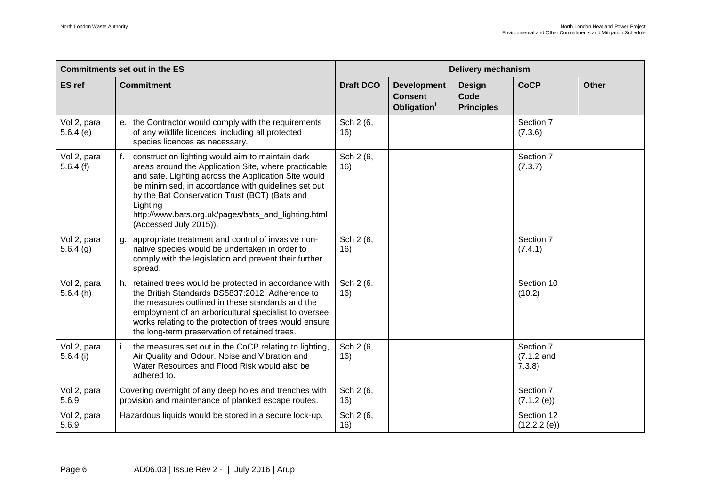| <b>Commitments set out in the ES</b> |                                                                                                                                                                                                                                                                                                                                                                          | <b>Delivery mechanism</b> |                                                                 |                                            |                                    |              |
|--------------------------------------|--------------------------------------------------------------------------------------------------------------------------------------------------------------------------------------------------------------------------------------------------------------------------------------------------------------------------------------------------------------------------|---------------------------|-----------------------------------------------------------------|--------------------------------------------|------------------------------------|--------------|
| <b>ES</b> ref                        | <b>Commitment</b>                                                                                                                                                                                                                                                                                                                                                        | <b>Draft DCO</b>          | <b>Development</b><br><b>Consent</b><br>Obligation <sup>1</sup> | <b>Design</b><br>Code<br><b>Principles</b> | <b>CoCP</b>                        | <b>Other</b> |
| Vol 2, para<br>5.6.4(e)              | e. the Contractor would comply with the requirements<br>of any wildlife licences, including all protected<br>species licences as necessary.                                                                                                                                                                                                                              | Sch 2 (6,<br>16)          |                                                                 |                                            | Section 7<br>(7.3.6)               |              |
| Vol 2, para<br>5.6.4(f)              | f. construction lighting would aim to maintain dark<br>areas around the Application Site, where practicable<br>and safe. Lighting across the Application Site would<br>be minimised, in accordance with guidelines set out<br>by the Bat Conservation Trust (BCT) (Bats and<br>Lighting<br>http://www.bats.org.uk/pages/bats_and_lighting.html<br>(Accessed July 2015)). | Sch 2 (6,<br>16)          |                                                                 |                                            | Section 7<br>(7.3.7)               |              |
| Vol 2, para<br>5.6.4(g)              | g. appropriate treatment and control of invasive non-<br>native species would be undertaken in order to<br>comply with the legislation and prevent their further<br>spread.                                                                                                                                                                                              | Sch 2 (6,<br>16)          |                                                                 |                                            | Section 7<br>(7.4.1)               |              |
| Vol 2, para<br>5.6.4(h)              | h. retained trees would be protected in accordance with<br>the British Standards BS5837:2012. Adherence to<br>the measures outlined in these standards and the<br>employment of an arboricultural specialist to oversee<br>works relating to the protection of trees would ensure<br>the long-term preservation of retained trees.                                       | Sch 2 (6,<br>16)          |                                                                 |                                            | Section 10<br>(10.2)               |              |
| Vol 2, para<br>$5.6.4$ (i)           | the measures set out in the CoCP relating to lighting,<br>Air Quality and Odour, Noise and Vibration and<br>Water Resources and Flood Risk would also be<br>adhered to.                                                                                                                                                                                                  | Sch 2 (6,<br>16)          |                                                                 |                                            | Section 7<br>$(7.1.2$ and<br>7.3.8 |              |
| Vol 2, para<br>5.6.9                 | Covering overnight of any deep holes and trenches with<br>provision and maintenance of planked escape routes.                                                                                                                                                                                                                                                            | Sch 2 (6,<br>16)          |                                                                 |                                            | Section 7<br>(7.1.2 (e))           |              |
| Vol 2, para<br>5.6.9                 | Hazardous liquids would be stored in a secure lock-up.                                                                                                                                                                                                                                                                                                                   | Sch 2 (6,<br>16)          |                                                                 |                                            | Section 12<br>(12.2.2 (e))         |              |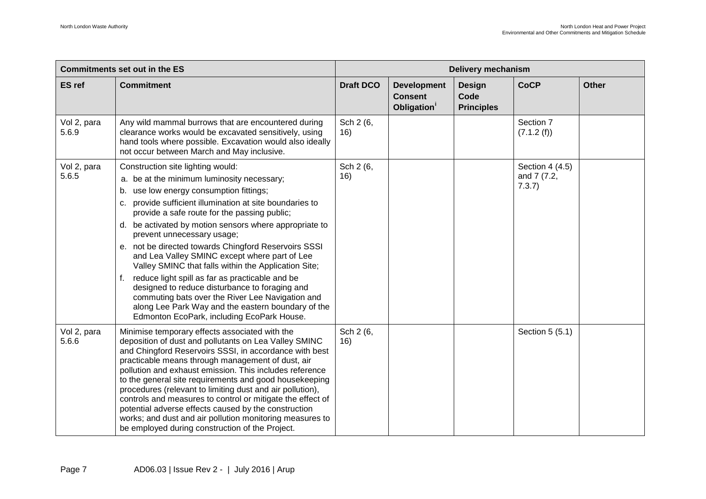|                      | <b>Commitments set out in the ES</b>                                                                                                                                                                                                                                                                                                                                                                                                                                                                                                                                                                                                                                                                                                                               | <b>Delivery mechanism</b> |                                                                 |                                            |                                          |              |
|----------------------|--------------------------------------------------------------------------------------------------------------------------------------------------------------------------------------------------------------------------------------------------------------------------------------------------------------------------------------------------------------------------------------------------------------------------------------------------------------------------------------------------------------------------------------------------------------------------------------------------------------------------------------------------------------------------------------------------------------------------------------------------------------------|---------------------------|-----------------------------------------------------------------|--------------------------------------------|------------------------------------------|--------------|
| <b>ES</b> ref        | <b>Commitment</b>                                                                                                                                                                                                                                                                                                                                                                                                                                                                                                                                                                                                                                                                                                                                                  | <b>Draft DCO</b>          | <b>Development</b><br><b>Consent</b><br>Obligation <sup>1</sup> | <b>Design</b><br>Code<br><b>Principles</b> | <b>CoCP</b>                              | <b>Other</b> |
| Vol 2, para<br>5.6.9 | Any wild mammal burrows that are encountered during<br>clearance works would be excavated sensitively, using<br>hand tools where possible. Excavation would also ideally<br>not occur between March and May inclusive.                                                                                                                                                                                                                                                                                                                                                                                                                                                                                                                                             | Sch 2 (6,<br>16)          |                                                                 |                                            | Section 7<br>(7.1.2(f))                  |              |
| Vol 2, para<br>5.6.5 | Construction site lighting would:<br>a. be at the minimum luminosity necessary;<br>b. use low energy consumption fittings;<br>c. provide sufficient illumination at site boundaries to<br>provide a safe route for the passing public;<br>d. be activated by motion sensors where appropriate to<br>prevent unnecessary usage;<br>e. not be directed towards Chingford Reservoirs SSSI<br>and Lea Valley SMINC except where part of Lee<br>Valley SMINC that falls within the Application Site;<br>reduce light spill as far as practicable and be<br>f.<br>designed to reduce disturbance to foraging and<br>commuting bats over the River Lee Navigation and<br>along Lee Park Way and the eastern boundary of the<br>Edmonton EcoPark, including EcoPark House. | Sch 2 (6,<br>16)          |                                                                 |                                            | Section 4 (4.5)<br>and 7 (7.2,<br>7.3.7) |              |
| Vol 2, para<br>5.6.6 | Minimise temporary effects associated with the<br>deposition of dust and pollutants on Lea Valley SMINC<br>and Chingford Reservoirs SSSI, in accordance with best<br>practicable means through management of dust, air<br>pollution and exhaust emission. This includes reference<br>to the general site requirements and good housekeeping<br>procedures (relevant to limiting dust and air pollution),<br>controls and measures to control or mitigate the effect of<br>potential adverse effects caused by the construction<br>works; and dust and air pollution monitoring measures to<br>be employed during construction of the Project.                                                                                                                      | Sch 2 (6,<br>16)          |                                                                 |                                            | Section 5 (5.1)                          |              |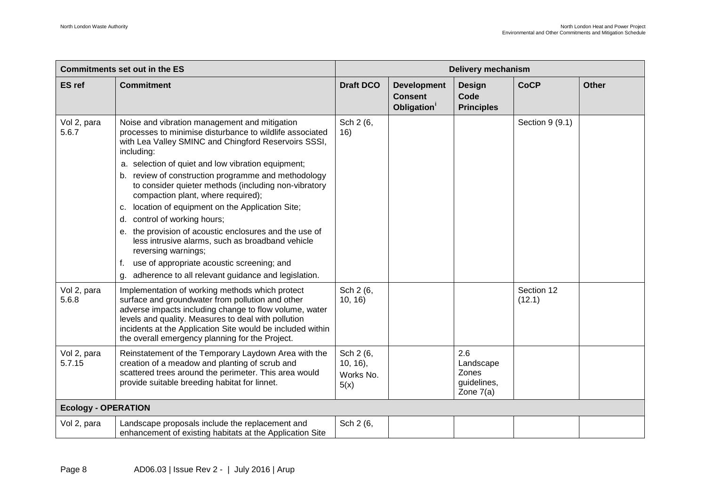|                            | <b>Commitments set out in the ES</b>                                                                                                                                                                                                                                                                                                                                                                                                                                                                                                                                                                                                                                                                                                     | <b>Delivery mechanism</b>                    |                                                                 |                                                         |                      |              |
|----------------------------|------------------------------------------------------------------------------------------------------------------------------------------------------------------------------------------------------------------------------------------------------------------------------------------------------------------------------------------------------------------------------------------------------------------------------------------------------------------------------------------------------------------------------------------------------------------------------------------------------------------------------------------------------------------------------------------------------------------------------------------|----------------------------------------------|-----------------------------------------------------------------|---------------------------------------------------------|----------------------|--------------|
| <b>ES</b> ref              | <b>Commitment</b>                                                                                                                                                                                                                                                                                                                                                                                                                                                                                                                                                                                                                                                                                                                        | <b>Draft DCO</b>                             | <b>Development</b><br><b>Consent</b><br>Obligation <sup>1</sup> | <b>Design</b><br>Code<br><b>Principles</b>              | <b>CoCP</b>          | <b>Other</b> |
| Vol 2, para<br>5.6.7       | Noise and vibration management and mitigation<br>processes to minimise disturbance to wildlife associated<br>with Lea Valley SMINC and Chingford Reservoirs SSSI,<br>including:<br>a. selection of quiet and low vibration equipment;<br>b. review of construction programme and methodology<br>to consider quieter methods (including non-vibratory<br>compaction plant, where required);<br>location of equipment on the Application Site;<br>c.<br>d. control of working hours;<br>e. the provision of acoustic enclosures and the use of<br>less intrusive alarms, such as broadband vehicle<br>reversing warnings;<br>use of appropriate acoustic screening; and<br>f.<br>adherence to all relevant guidance and legislation.<br>g. | Sch 2 (6,<br>16)                             |                                                                 |                                                         | Section 9 (9.1)      |              |
| Vol 2, para<br>5.6.8       | Implementation of working methods which protect<br>surface and groundwater from pollution and other<br>adverse impacts including change to flow volume, water<br>levels and quality. Measures to deal with pollution<br>incidents at the Application Site would be included within<br>the overall emergency planning for the Project.                                                                                                                                                                                                                                                                                                                                                                                                    | Sch 2 (6,<br>10, 16                          |                                                                 |                                                         | Section 12<br>(12.1) |              |
| Vol 2, para<br>5.7.15      | Reinstatement of the Temporary Laydown Area with the<br>creation of a meadow and planting of scrub and<br>scattered trees around the perimeter. This area would<br>provide suitable breeding habitat for linnet.                                                                                                                                                                                                                                                                                                                                                                                                                                                                                                                         | Sch 2 (6,<br>$10, 16$ ,<br>Works No.<br>5(x) |                                                                 | 2.6<br>Landscape<br>Zones<br>guidelines,<br>Zone $7(a)$ |                      |              |
| <b>Ecology - OPERATION</b> |                                                                                                                                                                                                                                                                                                                                                                                                                                                                                                                                                                                                                                                                                                                                          |                                              |                                                                 |                                                         |                      |              |
| Vol 2, para                | Landscape proposals include the replacement and<br>enhancement of existing habitats at the Application Site                                                                                                                                                                                                                                                                                                                                                                                                                                                                                                                                                                                                                              | Sch 2 (6,                                    |                                                                 |                                                         |                      |              |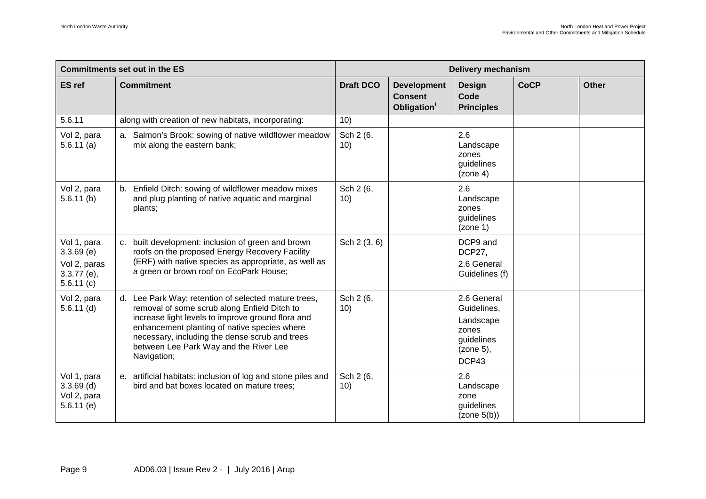| <b>Commitments set out in the ES</b>                                      |                                                                                                                                                                                                                                                                                                                      | <b>Delivery mechanism</b> |                                                                 |                                                                                      |             |              |
|---------------------------------------------------------------------------|----------------------------------------------------------------------------------------------------------------------------------------------------------------------------------------------------------------------------------------------------------------------------------------------------------------------|---------------------------|-----------------------------------------------------------------|--------------------------------------------------------------------------------------|-------------|--------------|
| <b>ES</b> ref                                                             | <b>Commitment</b>                                                                                                                                                                                                                                                                                                    | <b>Draft DCO</b>          | <b>Development</b><br><b>Consent</b><br>Obligation <sup>1</sup> | <b>Design</b><br>Code<br><b>Principles</b>                                           | <b>CoCP</b> | <b>Other</b> |
| 5.6.11                                                                    | along with creation of new habitats, incorporating:                                                                                                                                                                                                                                                                  | 10)                       |                                                                 |                                                                                      |             |              |
| Vol 2, para<br>$5.6.11$ (a)                                               | a. Salmon's Brook: sowing of native wildflower meadow<br>mix along the eastern bank;                                                                                                                                                                                                                                 | Sch 2 (6,<br>10)          |                                                                 | 2.6<br>Landscape<br>zones<br>guidelines<br>(zone 4)                                  |             |              |
| Vol 2, para<br>$5.6.11$ (b)                                               | b. Enfield Ditch: sowing of wildflower meadow mixes<br>and plug planting of native aquatic and marginal<br>plants;                                                                                                                                                                                                   | Sch 2 (6,<br>10)          |                                                                 | 2.6<br>Landscape<br>zones<br>guidelines<br>(zone 1)                                  |             |              |
| Vol 1, para<br>$3.3.69$ (e)<br>Vol 2, paras<br>$3.3.77$ (e),<br>5.6.11(c) | c. built development: inclusion of green and brown<br>roofs on the proposed Energy Recovery Facility<br>(ERF) with native species as appropriate, as well as<br>a green or brown roof on EcoPark House;                                                                                                              | Sch 2 (3, 6)              |                                                                 | DCP9 and<br>DCP27,<br>2.6 General<br>Guidelines (f)                                  |             |              |
| Vol 2, para<br>$5.6.11$ (d)                                               | d. Lee Park Way: retention of selected mature trees,<br>removal of some scrub along Enfield Ditch to<br>increase light levels to improve ground flora and<br>enhancement planting of native species where<br>necessary, including the dense scrub and trees<br>between Lee Park Way and the River Lee<br>Navigation; | Sch 2 (6,<br>10)          |                                                                 | 2.6 General<br>Guidelines,<br>Landscape<br>zones<br>guidelines<br>(zone 5),<br>DCP43 |             |              |
| Vol 1, para<br>$3.3.69$ (d)<br>Vol 2, para<br>$5.6.11$ (e)                | e. artificial habitats: inclusion of log and stone piles and<br>bird and bat boxes located on mature trees;                                                                                                                                                                                                          | Sch 2 (6,<br>10)          |                                                                 | 2.6<br>Landscape<br>zone<br>guidelines<br>(zone 5(b))                                |             |              |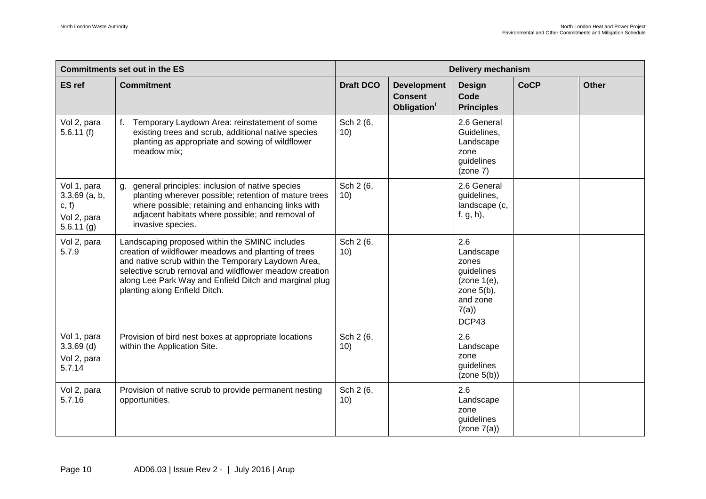|                                                                       | <b>Commitments set out in the ES</b>                                                                                                                                                                                                                                                                               | Delivery mechanism |                                                                 |                                                                                                      |             |              |
|-----------------------------------------------------------------------|--------------------------------------------------------------------------------------------------------------------------------------------------------------------------------------------------------------------------------------------------------------------------------------------------------------------|--------------------|-----------------------------------------------------------------|------------------------------------------------------------------------------------------------------|-------------|--------------|
| <b>ES</b> ref                                                         | <b>Commitment</b>                                                                                                                                                                                                                                                                                                  | <b>Draft DCO</b>   | <b>Development</b><br><b>Consent</b><br>Obligation <sup>1</sup> | <b>Design</b><br>Code<br><b>Principles</b>                                                           | <b>CoCP</b> | <b>Other</b> |
| Vol 2, para<br>5.6.11(f)                                              | f. Temporary Laydown Area: reinstatement of some<br>existing trees and scrub, additional native species<br>planting as appropriate and sowing of wildflower<br>meadow mix;                                                                                                                                         | Sch 2 (6,<br>10)   |                                                                 | 2.6 General<br>Guidelines,<br>Landscape<br>zone<br>guidelines<br>(zone 7)                            |             |              |
| Vol 1, para<br>$3.3.69$ (a, b,<br>c, f<br>Vol 2, para<br>$5.6.11$ (g) | g. general principles: inclusion of native species<br>planting wherever possible; retention of mature trees<br>where possible; retaining and enhancing links with<br>adjacent habitats where possible; and removal of<br>invasive species.                                                                         | Sch 2 (6,<br>10)   |                                                                 | 2.6 General<br>guidelines,<br>landscape (c,<br>$f, g, h$ ),                                          |             |              |
| Vol 2, para<br>5.7.9                                                  | Landscaping proposed within the SMINC includes<br>creation of wildflower meadows and planting of trees<br>and native scrub within the Temporary Laydown Area,<br>selective scrub removal and wildflower meadow creation<br>along Lee Park Way and Enfield Ditch and marginal plug<br>planting along Enfield Ditch. | Sch 2 (6,<br>10)   |                                                                 | 2.6<br>Landscape<br>zones<br>guidelines<br>(zone 1(e),<br>zone $5(b)$ ,<br>and zone<br>7(a)<br>DCP43 |             |              |
| Vol 1, para<br>$3.3.69$ (d)<br>Vol 2, para<br>5.7.14                  | Provision of bird nest boxes at appropriate locations<br>within the Application Site.                                                                                                                                                                                                                              | Sch 2 (6,<br>10)   |                                                                 | 2.6<br>Landscape<br>zone<br>guidelines<br>(zone 5(b))                                                |             |              |
| Vol 2, para<br>5.7.16                                                 | Provision of native scrub to provide permanent nesting<br>opportunities.                                                                                                                                                                                                                                           | Sch 2 (6,<br>10)   |                                                                 | 2.6<br>Landscape<br>zone<br>guidelines<br>(zone 7(a))                                                |             |              |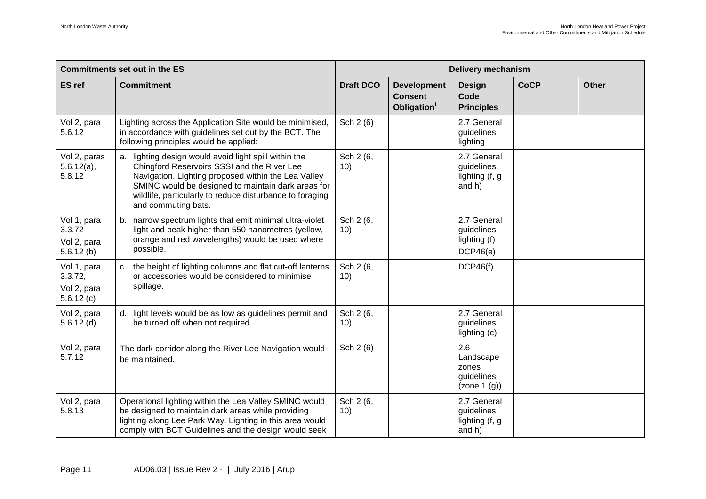|                                                      | <b>Commitments set out in the ES</b>                                                                                                                                                                                                                                                                 | <b>Delivery mechanism</b> |                                                                 |                                                        |             |              |
|------------------------------------------------------|------------------------------------------------------------------------------------------------------------------------------------------------------------------------------------------------------------------------------------------------------------------------------------------------------|---------------------------|-----------------------------------------------------------------|--------------------------------------------------------|-------------|--------------|
| <b>ES</b> ref                                        | <b>Commitment</b>                                                                                                                                                                                                                                                                                    | <b>Draft DCO</b>          | <b>Development</b><br><b>Consent</b><br>Obligation <sup>1</sup> | <b>Design</b><br>Code<br><b>Principles</b>             | <b>CoCP</b> | <b>Other</b> |
| Vol 2, para<br>5.6.12                                | Lighting across the Application Site would be minimised,<br>in accordance with guidelines set out by the BCT. The<br>following principles would be applied:                                                                                                                                          | Sch 2 (6)                 |                                                                 | 2.7 General<br>guidelines,<br>lighting                 |             |              |
| Vol 2, paras<br>$5.6.12(a)$ ,<br>5.8.12              | a. lighting design would avoid light spill within the<br>Chingford Reservoirs SSSI and the River Lee<br>Navigation. Lighting proposed within the Lea Valley<br>SMINC would be designed to maintain dark areas for<br>wildlife, particularly to reduce disturbance to foraging<br>and commuting bats. | Sch 2 (6,<br>10)          |                                                                 | 2.7 General<br>guidelines,<br>lighting (f, g<br>and h) |             |              |
| Vol 1, para<br>3.3.72<br>Vol 2, para<br>$5.6.12$ (b) | b. narrow spectrum lights that emit minimal ultra-violet<br>light and peak higher than 550 nanometres (yellow,<br>orange and red wavelengths) would be used where<br>possible.                                                                                                                       | Sch 2 (6,<br>10)          |                                                                 | 2.7 General<br>guidelines,<br>lighting (f)<br>DCP46(e) |             |              |
| Vol 1, para<br>3.3.72,<br>Vol 2, para<br>5.6.12(c)   | c. the height of lighting columns and flat cut-off lanterns<br>or accessories would be considered to minimise<br>spillage.                                                                                                                                                                           | Sch 2 (6,<br>10)          |                                                                 | DCP46(f)                                               |             |              |
| Vol 2, para<br>$5.6.12$ (d)                          | d. light levels would be as low as guidelines permit and<br>be turned off when not required.                                                                                                                                                                                                         | Sch 2 (6,<br>10)          |                                                                 | 2.7 General<br>guidelines,<br>lighting (c)             |             |              |
| Vol 2, para<br>5.7.12                                | The dark corridor along the River Lee Navigation would<br>be maintained.                                                                                                                                                                                                                             | Sch 2 (6)                 |                                                                 | 2.6<br>Landscape<br>zones<br>guidelines<br>(zone 1(g)) |             |              |
| Vol 2, para<br>5.8.13                                | Operational lighting within the Lea Valley SMINC would<br>be designed to maintain dark areas while providing<br>lighting along Lee Park Way. Lighting in this area would<br>comply with BCT Guidelines and the design would seek                                                                     | Sch 2 (6,<br>10)          |                                                                 | 2.7 General<br>guidelines,<br>lighting (f, g<br>and h) |             |              |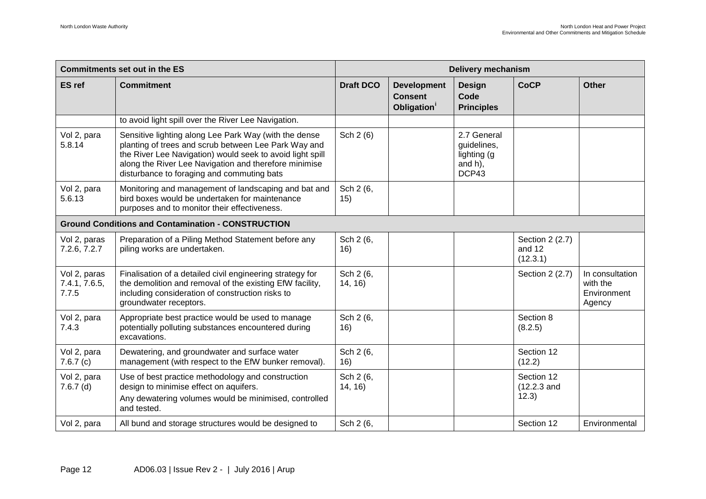|                                        | <b>Commitments set out in the ES</b>                                                                                                                                                                                                                                              | <b>Delivery mechanism</b> |                                                                 |                                                               |                                       |                                                      |
|----------------------------------------|-----------------------------------------------------------------------------------------------------------------------------------------------------------------------------------------------------------------------------------------------------------------------------------|---------------------------|-----------------------------------------------------------------|---------------------------------------------------------------|---------------------------------------|------------------------------------------------------|
| <b>ES</b> ref                          | <b>Commitment</b>                                                                                                                                                                                                                                                                 | <b>Draft DCO</b>          | <b>Development</b><br><b>Consent</b><br>Obligation <sup>1</sup> | <b>Design</b><br>Code<br><b>Principles</b>                    | <b>CoCP</b>                           | <b>Other</b>                                         |
|                                        | to avoid light spill over the River Lee Navigation.                                                                                                                                                                                                                               |                           |                                                                 |                                                               |                                       |                                                      |
| Vol 2, para<br>5.8.14                  | Sensitive lighting along Lee Park Way (with the dense<br>planting of trees and scrub between Lee Park Way and<br>the River Lee Navigation) would seek to avoid light spill<br>along the River Lee Navigation and therefore minimise<br>disturbance to foraging and commuting bats | Sch 2 (6)                 |                                                                 | 2.7 General<br>guidelines,<br>lighting (g<br>and h),<br>DCP43 |                                       |                                                      |
| Vol 2, para<br>5.6.13                  | Monitoring and management of landscaping and bat and<br>bird boxes would be undertaken for maintenance<br>purposes and to monitor their effectiveness.                                                                                                                            | Sch 2 (6,<br>15)          |                                                                 |                                                               |                                       |                                                      |
|                                        | <b>Ground Conditions and Contamination - CONSTRUCTION</b>                                                                                                                                                                                                                         |                           |                                                                 |                                                               |                                       |                                                      |
| Vol 2, paras<br>7.2.6, 7.2.7           | Preparation of a Piling Method Statement before any<br>piling works are undertaken.                                                                                                                                                                                               | Sch 2 (6,<br>16)          |                                                                 |                                                               | Section 2 (2.7)<br>and 12<br>(12.3.1) |                                                      |
| Vol 2, paras<br>7.4.1, 7.6.5,<br>7.7.5 | Finalisation of a detailed civil engineering strategy for<br>the demolition and removal of the existing EfW facility,<br>including consideration of construction risks to<br>groundwater receptors.                                                                               | Sch 2 (6,<br>14, 16)      |                                                                 |                                                               | Section 2 (2.7)                       | In consultation<br>with the<br>Environment<br>Agency |
| Vol 2, para<br>7.4.3                   | Appropriate best practice would be used to manage<br>potentially polluting substances encountered during<br>excavations.                                                                                                                                                          | Sch 2 (6,<br>16)          |                                                                 |                                                               | Section 8<br>(8.2.5)                  |                                                      |
| Vol 2, para<br>7.6.7(c)                | Dewatering, and groundwater and surface water<br>management (with respect to the EfW bunker removal).                                                                                                                                                                             | Sch 2 (6,<br>16)          |                                                                 |                                                               | Section 12<br>(12.2)                  |                                                      |
| Vol 2, para<br>$7.6.7$ (d)             | Use of best practice methodology and construction<br>design to minimise effect on aquifers.<br>Any dewatering volumes would be minimised, controlled<br>and tested.                                                                                                               | Sch 2 (6,<br>14, 16)      |                                                                 |                                                               | Section 12<br>(12.2.3 and<br>12.3)    |                                                      |
| Vol 2, para                            | All bund and storage structures would be designed to                                                                                                                                                                                                                              | Sch 2 (6,                 |                                                                 |                                                               | Section 12                            | Environmental                                        |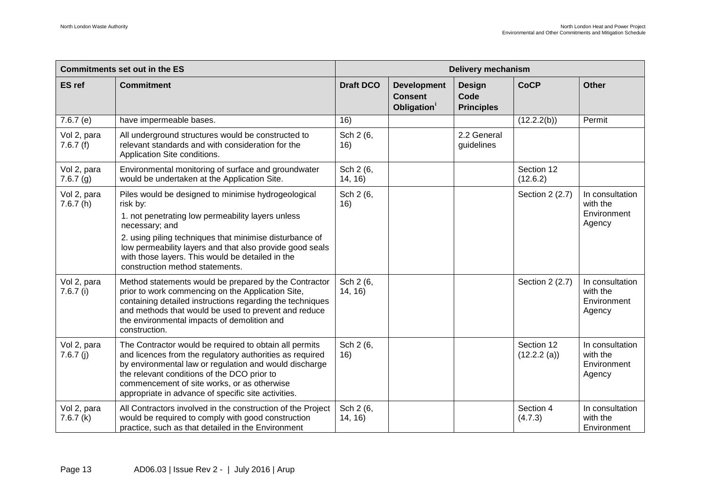|                            | <b>Commitments set out in the ES</b>                                                                                                                                                                                                                                                                                                                 | <b>Delivery mechanism</b> |                                                                 |                                            |                           |                                                      |
|----------------------------|------------------------------------------------------------------------------------------------------------------------------------------------------------------------------------------------------------------------------------------------------------------------------------------------------------------------------------------------------|---------------------------|-----------------------------------------------------------------|--------------------------------------------|---------------------------|------------------------------------------------------|
| <b>ES</b> ref              | <b>Commitment</b>                                                                                                                                                                                                                                                                                                                                    | <b>Draft DCO</b>          | <b>Development</b><br><b>Consent</b><br>Obligation <sup>1</sup> | <b>Design</b><br>Code<br><b>Principles</b> | <b>CoCP</b>               | <b>Other</b>                                         |
| 7.6.7(e)                   | have impermeable bases.                                                                                                                                                                                                                                                                                                                              | 16)                       |                                                                 |                                            | (12.2.2(b))               | Permit                                               |
| Vol 2, para<br>7.6.7(f)    | All underground structures would be constructed to<br>relevant standards and with consideration for the<br>Application Site conditions.                                                                                                                                                                                                              | Sch 2 (6,<br>16)          |                                                                 | 2.2 General<br>guidelines                  |                           |                                                      |
| Vol 2, para<br>7.6.7(g)    | Environmental monitoring of surface and groundwater<br>would be undertaken at the Application Site.                                                                                                                                                                                                                                                  | Sch 2 (6,<br>14, 16)      |                                                                 |                                            | Section 12<br>(12.6.2)    |                                                      |
| Vol 2, para<br>7.6.7(h)    | Piles would be designed to minimise hydrogeological<br>risk by:<br>1. not penetrating low permeability layers unless<br>necessary; and<br>2. using piling techniques that minimise disturbance of<br>low permeability layers and that also provide good seals<br>with those layers. This would be detailed in the<br>construction method statements. | Sch 2 (6,<br>16)          |                                                                 |                                            | Section 2 (2.7)           | In consultation<br>with the<br>Environment<br>Agency |
| Vol 2, para<br>$7.6.7$ (i) | Method statements would be prepared by the Contractor<br>prior to work commencing on the Application Site,<br>containing detailed instructions regarding the techniques<br>and methods that would be used to prevent and reduce<br>the environmental impacts of demolition and<br>construction.                                                      | Sch 2 (6,<br>14, 16)      |                                                                 |                                            | Section 2 (2.7)           | In consultation<br>with the<br>Environment<br>Agency |
| Vol 2, para<br>7.6.7(j)    | The Contractor would be required to obtain all permits<br>and licences from the regulatory authorities as required<br>by environmental law or regulation and would discharge<br>the relevant conditions of the DCO prior to<br>commencement of site works, or as otherwise<br>appropriate in advance of specific site activities.                    | Sch 2 (6,<br>16)          |                                                                 |                                            | Section 12<br>(12.2.2(a)) | In consultation<br>with the<br>Environment<br>Agency |
| Vol 2, para<br>7.6.7(k)    | All Contractors involved in the construction of the Project<br>would be required to comply with good construction<br>practice, such as that detailed in the Environment                                                                                                                                                                              | Sch 2 (6,<br>14, 16)      |                                                                 |                                            | Section 4<br>(4.7.3)      | In consultation<br>with the<br>Environment           |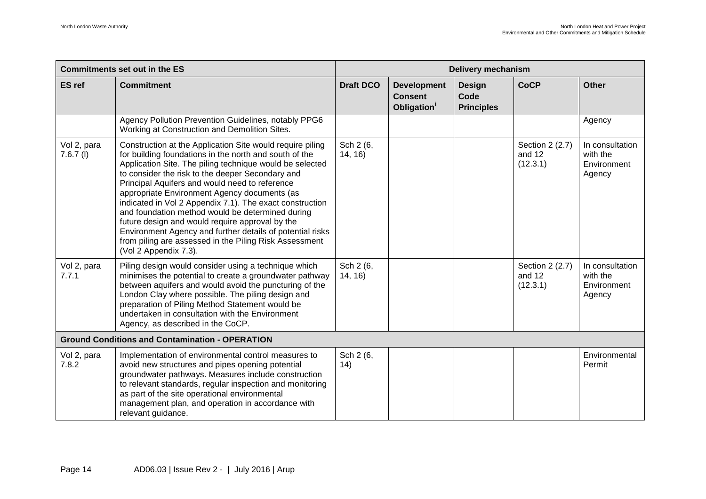| <b>Commitments set out in the ES</b> |                                                                                                                                                                                                                                                                                                                                                                                                                                                                                                                                                                                                                                                          | <b>Delivery mechanism</b> |                                                                 |                                            |                                       |                                                      |  |
|--------------------------------------|----------------------------------------------------------------------------------------------------------------------------------------------------------------------------------------------------------------------------------------------------------------------------------------------------------------------------------------------------------------------------------------------------------------------------------------------------------------------------------------------------------------------------------------------------------------------------------------------------------------------------------------------------------|---------------------------|-----------------------------------------------------------------|--------------------------------------------|---------------------------------------|------------------------------------------------------|--|
| <b>ES</b> ref                        | <b>Commitment</b>                                                                                                                                                                                                                                                                                                                                                                                                                                                                                                                                                                                                                                        | <b>Draft DCO</b>          | <b>Development</b><br><b>Consent</b><br>Obligation <sup>1</sup> | <b>Design</b><br>Code<br><b>Principles</b> | <b>CoCP</b>                           | <b>Other</b>                                         |  |
|                                      | Agency Pollution Prevention Guidelines, notably PPG6<br>Working at Construction and Demolition Sites.                                                                                                                                                                                                                                                                                                                                                                                                                                                                                                                                                    |                           |                                                                 |                                            |                                       | Agency                                               |  |
| Vol 2, para<br>$7.6.7$ (l)           | Construction at the Application Site would require piling<br>for building foundations in the north and south of the<br>Application Site. The piling technique would be selected<br>to consider the risk to the deeper Secondary and<br>Principal Aquifers and would need to reference<br>appropriate Environment Agency documents (as<br>indicated in Vol 2 Appendix 7.1). The exact construction<br>and foundation method would be determined during<br>future design and would require approval by the<br>Environment Agency and further details of potential risks<br>from piling are assessed in the Piling Risk Assessment<br>(Vol 2 Appendix 7.3). | Sch 2 (6,<br>14, 16)      |                                                                 |                                            | Section 2 (2.7)<br>and 12<br>(12.3.1) | In consultation<br>with the<br>Environment<br>Agency |  |
| Vol 2, para<br>7.7.1                 | Piling design would consider using a technique which<br>minimises the potential to create a groundwater pathway<br>between aquifers and would avoid the puncturing of the<br>London Clay where possible. The piling design and<br>preparation of Piling Method Statement would be<br>undertaken in consultation with the Environment<br>Agency, as described in the CoCP.                                                                                                                                                                                                                                                                                | Sch 2 (6,<br>14, 16)      |                                                                 |                                            | Section 2 (2.7)<br>and 12<br>(12.3.1) | In consultation<br>with the<br>Environment<br>Agency |  |
|                                      | <b>Ground Conditions and Contamination - OPERATION</b>                                                                                                                                                                                                                                                                                                                                                                                                                                                                                                                                                                                                   |                           |                                                                 |                                            |                                       |                                                      |  |
| Vol 2, para<br>7.8.2                 | Implementation of environmental control measures to<br>avoid new structures and pipes opening potential<br>groundwater pathways. Measures include construction<br>to relevant standards, regular inspection and monitoring<br>as part of the site operational environmental<br>management plan, and operation in accordance with<br>relevant guidance.                                                                                                                                                                                                                                                                                                   | Sch 2 (6,<br>(14)         |                                                                 |                                            |                                       | Environmental<br>Permit                              |  |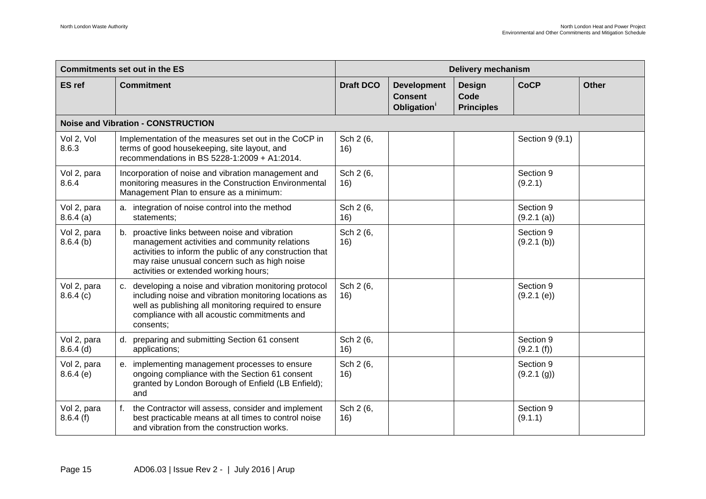| <b>Commitments set out in the ES</b> |                                                                                                                                                                                                                                                      | <b>Delivery mechanism</b> |                                                                 |                                            |                          |              |  |  |  |  |
|--------------------------------------|------------------------------------------------------------------------------------------------------------------------------------------------------------------------------------------------------------------------------------------------------|---------------------------|-----------------------------------------------------------------|--------------------------------------------|--------------------------|--------------|--|--|--|--|
| <b>ES</b> ref                        | <b>Commitment</b>                                                                                                                                                                                                                                    | <b>Draft DCO</b>          | <b>Development</b><br><b>Consent</b><br>Obligation <sup>1</sup> | <b>Design</b><br>Code<br><b>Principles</b> | <b>CoCP</b>              | <b>Other</b> |  |  |  |  |
|                                      | <b>Noise and Vibration - CONSTRUCTION</b>                                                                                                                                                                                                            |                           |                                                                 |                                            |                          |              |  |  |  |  |
| Vol 2, Vol<br>8.6.3                  | Implementation of the measures set out in the CoCP in<br>terms of good housekeeping, site layout, and<br>recommendations in BS 5228-1:2009 + A1:2014.                                                                                                | Sch 2 (6,<br>16)          |                                                                 |                                            | Section 9 (9.1)          |              |  |  |  |  |
| Vol 2, para<br>8.6.4                 | Incorporation of noise and vibration management and<br>monitoring measures in the Construction Environmental<br>Management Plan to ensure as a minimum:                                                                                              | Sch 2 (6,<br>16)          |                                                                 |                                            | Section 9<br>(9.2.1)     |              |  |  |  |  |
| Vol 2, para<br>8.6.4(a)              | a. integration of noise control into the method<br>statements;                                                                                                                                                                                       | Sch 2 (6,<br>16)          |                                                                 |                                            | Section 9<br>(9.2.1(a))  |              |  |  |  |  |
| Vol 2, para<br>$8.6.4$ (b)           | b. proactive links between noise and vibration<br>management activities and community relations<br>activities to inform the public of any construction that<br>may raise unusual concern such as high noise<br>activities or extended working hours; | Sch 2 (6,<br>16)          |                                                                 |                                            | Section 9<br>(9.2.1 (b)) |              |  |  |  |  |
| Vol 2, para<br>8.6.4(c)              | c. developing a noise and vibration monitoring protocol<br>including noise and vibration monitoring locations as<br>well as publishing all monitoring required to ensure<br>compliance with all acoustic commitments and<br>consents;                | Sch 2 (6,<br>16)          |                                                                 |                                            | Section 9<br>(9.2.1 (e)) |              |  |  |  |  |
| Vol 2, para<br>$8.6.4$ (d)           | d. preparing and submitting Section 61 consent<br>applications;                                                                                                                                                                                      | Sch 2 (6,<br>16)          |                                                                 |                                            | Section 9<br>(9.2.1(f))  |              |  |  |  |  |
| Vol 2, para<br>8.6.4(e)              | e. implementing management processes to ensure<br>ongoing compliance with the Section 61 consent<br>granted by London Borough of Enfield (LB Enfield);<br>and                                                                                        | Sch 2 (6,<br>16)          |                                                                 |                                            | Section 9<br>(9.2.1 (g)) |              |  |  |  |  |
| Vol 2, para<br>8.6.4(f)              | f.<br>the Contractor will assess, consider and implement<br>best practicable means at all times to control noise<br>and vibration from the construction works.                                                                                       | Sch 2 (6,<br>16)          |                                                                 |                                            | Section 9<br>(9.1.1)     |              |  |  |  |  |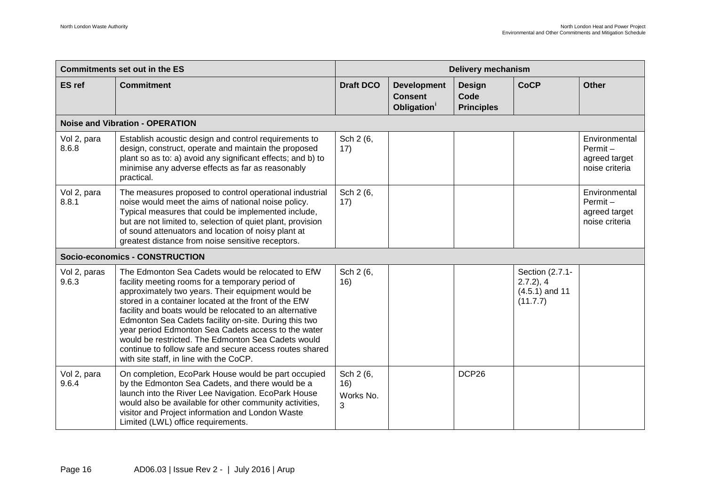|                       | <b>Commitments set out in the ES</b>                                                                                                                                                                                                                                                                                                                                                                                                                                                                                                                       |                                    | <b>Delivery mechanism</b>                                       |                                            |                                                                 |                                                                |  |  |
|-----------------------|------------------------------------------------------------------------------------------------------------------------------------------------------------------------------------------------------------------------------------------------------------------------------------------------------------------------------------------------------------------------------------------------------------------------------------------------------------------------------------------------------------------------------------------------------------|------------------------------------|-----------------------------------------------------------------|--------------------------------------------|-----------------------------------------------------------------|----------------------------------------------------------------|--|--|
| <b>ES</b> ref         | <b>Commitment</b>                                                                                                                                                                                                                                                                                                                                                                                                                                                                                                                                          | <b>Draft DCO</b>                   | <b>Development</b><br><b>Consent</b><br>Obligation <sup>1</sup> | <b>Design</b><br>Code<br><b>Principles</b> | <b>CoCP</b>                                                     | <b>Other</b>                                                   |  |  |
|                       | <b>Noise and Vibration - OPERATION</b>                                                                                                                                                                                                                                                                                                                                                                                                                                                                                                                     |                                    |                                                                 |                                            |                                                                 |                                                                |  |  |
| Vol 2, para<br>8.6.8  | Establish acoustic design and control requirements to<br>design, construct, operate and maintain the proposed<br>plant so as to: a) avoid any significant effects; and b) to<br>minimise any adverse effects as far as reasonably<br>practical.                                                                                                                                                                                                                                                                                                            | Sch 2 (6,<br>17)                   |                                                                 |                                            |                                                                 | Environmental<br>Permit-<br>agreed target<br>noise criteria    |  |  |
| Vol 2, para<br>8.8.1  | The measures proposed to control operational industrial<br>noise would meet the aims of national noise policy.<br>Typical measures that could be implemented include,<br>but are not limited to, selection of quiet plant, provision<br>of sound attenuators and location of noisy plant at<br>greatest distance from noise sensitive receptors.                                                                                                                                                                                                           | Sch 2 (6,<br>17)                   |                                                                 |                                            |                                                                 | Environmental<br>$Permit -$<br>agreed target<br>noise criteria |  |  |
|                       | Socio-economics - CONSTRUCTION                                                                                                                                                                                                                                                                                                                                                                                                                                                                                                                             |                                    |                                                                 |                                            |                                                                 |                                                                |  |  |
| Vol 2, paras<br>9.6.3 | The Edmonton Sea Cadets would be relocated to EfW<br>facility meeting rooms for a temporary period of<br>approximately two years. Their equipment would be<br>stored in a container located at the front of the EfW<br>facility and boats would be relocated to an alternative<br>Edmonton Sea Cadets facility on-site. During this two<br>year period Edmonton Sea Cadets access to the water<br>would be restricted. The Edmonton Sea Cadets would<br>continue to follow safe and secure access routes shared<br>with site staff, in line with the CoCP. | Sch 2 (6,<br>16)                   |                                                                 |                                            | Section (2.7.1-<br>$2.7.2$ ), 4<br>$(4.5.1)$ and 11<br>(11.7.7) |                                                                |  |  |
| Vol 2, para<br>9.6.4  | On completion, EcoPark House would be part occupied<br>by the Edmonton Sea Cadets, and there would be a<br>launch into the River Lee Navigation. EcoPark House<br>would also be available for other community activities,<br>visitor and Project information and London Waste<br>Limited (LWL) office requirements.                                                                                                                                                                                                                                        | Sch 2 (6,<br>16)<br>Works No.<br>3 |                                                                 | DCP26                                      |                                                                 |                                                                |  |  |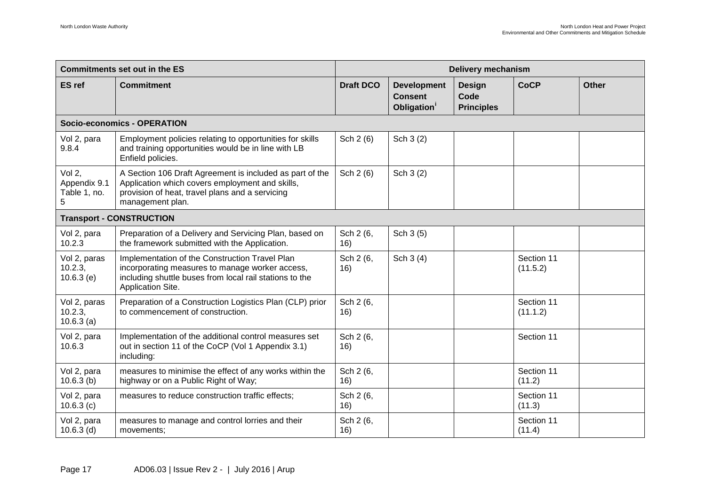| <b>Commitments set out in the ES</b>        |                                                                                                                                                                                    | <b>Delivery mechanism</b> |                                                                 |                                            |                        |              |  |  |
|---------------------------------------------|------------------------------------------------------------------------------------------------------------------------------------------------------------------------------------|---------------------------|-----------------------------------------------------------------|--------------------------------------------|------------------------|--------------|--|--|
| <b>ES</b> ref                               | <b>Commitment</b>                                                                                                                                                                  | <b>Draft DCO</b>          | <b>Development</b><br><b>Consent</b><br>Obligation <sup>1</sup> | <b>Design</b><br>Code<br><b>Principles</b> | <b>CoCP</b>            | <b>Other</b> |  |  |
|                                             | Socio-economics - OPERATION                                                                                                                                                        |                           |                                                                 |                                            |                        |              |  |  |
| Vol 2, para<br>9.8.4                        | Employment policies relating to opportunities for skills<br>and training opportunities would be in line with LB<br>Enfield policies.                                               | Sch 2 (6)                 | Sch 3 (2)                                                       |                                            |                        |              |  |  |
| Vol 2,<br>Appendix 9.1<br>Table 1, no.<br>5 | A Section 106 Draft Agreement is included as part of the<br>Application which covers employment and skills,<br>provision of heat, travel plans and a servicing<br>management plan. | Sch 2 (6)                 | Sch 3 (2)                                                       |                                            |                        |              |  |  |
|                                             | <b>Transport - CONSTRUCTION</b>                                                                                                                                                    |                           |                                                                 |                                            |                        |              |  |  |
| Vol 2, para<br>10.2.3                       | Preparation of a Delivery and Servicing Plan, based on<br>the framework submitted with the Application.                                                                            | Sch 2 (6,<br>16)          | Sch 3 (5)                                                       |                                            |                        |              |  |  |
| Vol 2, paras<br>10.2.3,<br>10.6.3(e)        | Implementation of the Construction Travel Plan<br>incorporating measures to manage worker access,<br>including shuttle buses from local rail stations to the<br>Application Site.  | Sch 2 (6,<br>16)          | Sch 3 (4)                                                       |                                            | Section 11<br>(11.5.2) |              |  |  |
| Vol 2, paras<br>10.2.3,<br>10.6.3(a)        | Preparation of a Construction Logistics Plan (CLP) prior<br>to commencement of construction.                                                                                       | Sch 2 (6,<br>16)          |                                                                 |                                            | Section 11<br>(11.1.2) |              |  |  |
| Vol 2, para<br>10.6.3                       | Implementation of the additional control measures set<br>out in section 11 of the CoCP (Vol 1 Appendix 3.1)<br>including:                                                          | Sch 2 (6,<br>16)          |                                                                 |                                            | Section 11             |              |  |  |
| Vol 2, para<br>10.6.3(b)                    | measures to minimise the effect of any works within the<br>highway or on a Public Right of Way;                                                                                    | Sch 2 (6,<br>16)          |                                                                 |                                            | Section 11<br>(11.2)   |              |  |  |
| Vol 2, para<br>10.6.3(c)                    | measures to reduce construction traffic effects;                                                                                                                                   | Sch 2 (6,<br>16)          |                                                                 |                                            | Section 11<br>(11.3)   |              |  |  |
| Vol 2, para<br>$10.6.3$ (d)                 | measures to manage and control lorries and their<br>movements:                                                                                                                     | Sch 2 (6,<br>16)          |                                                                 |                                            | Section 11<br>(11.4)   |              |  |  |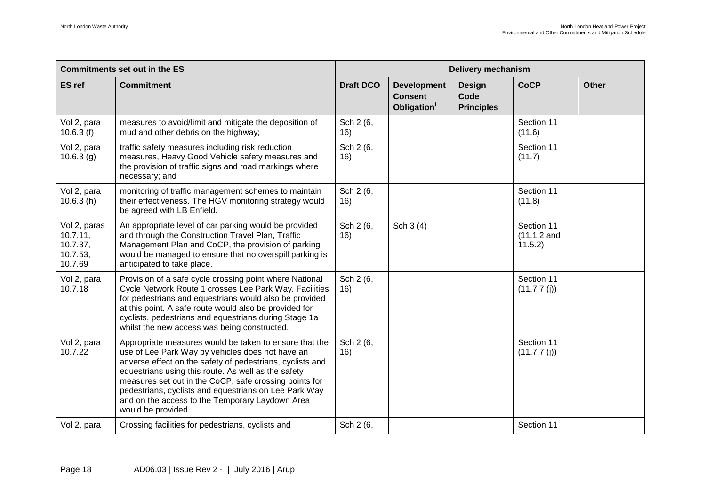| <b>Commitments set out in the ES</b>                        |                                                                                                                                                                                                                                                                                                                                                                                                                            | <b>Delivery mechanism</b> |                                                                 |                                            |                                       |              |
|-------------------------------------------------------------|----------------------------------------------------------------------------------------------------------------------------------------------------------------------------------------------------------------------------------------------------------------------------------------------------------------------------------------------------------------------------------------------------------------------------|---------------------------|-----------------------------------------------------------------|--------------------------------------------|---------------------------------------|--------------|
| <b>ES</b> ref                                               | <b>Commitment</b>                                                                                                                                                                                                                                                                                                                                                                                                          | <b>Draft DCO</b>          | <b>Development</b><br><b>Consent</b><br>Obligation <sup>1</sup> | <b>Design</b><br>Code<br><b>Principles</b> | <b>CoCP</b>                           | <b>Other</b> |
| Vol 2, para<br>10.6.3(f)                                    | measures to avoid/limit and mitigate the deposition of<br>mud and other debris on the highway;                                                                                                                                                                                                                                                                                                                             | Sch 2 (6,<br>16)          |                                                                 |                                            | Section 11<br>(11.6)                  |              |
| Vol 2, para<br>10.6.3(g)                                    | traffic safety measures including risk reduction<br>measures, Heavy Good Vehicle safety measures and<br>the provision of traffic signs and road markings where<br>necessary; and                                                                                                                                                                                                                                           | Sch 2 (6,<br>16)          |                                                                 |                                            | Section 11<br>(11.7)                  |              |
| Vol 2, para<br>10.6.3(h)                                    | monitoring of traffic management schemes to maintain<br>their effectiveness. The HGV monitoring strategy would<br>be agreed with LB Enfield.                                                                                                                                                                                                                                                                               | Sch 2 (6,<br>16)          |                                                                 |                                            | Section 11<br>(11.8)                  |              |
| Vol 2, paras<br>10.7.11,<br>10.7.37,<br>10.7.53,<br>10.7.69 | An appropriate level of car parking would be provided<br>and through the Construction Travel Plan, Traffic<br>Management Plan and CoCP, the provision of parking<br>would be managed to ensure that no overspill parking is<br>anticipated to take place.                                                                                                                                                                  | Sch 2 (6,<br>16)          | Sch 3 (4)                                                       |                                            | Section 11<br>$(11.1.2$ and<br>11.5.2 |              |
| Vol 2, para<br>10.7.18                                      | Provision of a safe cycle crossing point where National<br>Cycle Network Route 1 crosses Lee Park Way. Facilities<br>for pedestrians and equestrians would also be provided<br>at this point. A safe route would also be provided for<br>cyclists, pedestrians and equestrians during Stage 1a<br>whilst the new access was being constructed.                                                                             | Sch 2 (6,<br>16)          |                                                                 |                                            | Section 11<br>(11.7.7(j))             |              |
| Vol 2, para<br>10.7.22                                      | Appropriate measures would be taken to ensure that the<br>use of Lee Park Way by vehicles does not have an<br>adverse effect on the safety of pedestrians, cyclists and<br>equestrians using this route. As well as the safety<br>measures set out in the CoCP, safe crossing points for<br>pedestrians, cyclists and equestrians on Lee Park Way<br>and on the access to the Temporary Laydown Area<br>would be provided. | Sch 2 (6,<br>16)          |                                                                 |                                            | Section 11<br>(11.7.7(j))             |              |
| Vol 2, para                                                 | Crossing facilities for pedestrians, cyclists and                                                                                                                                                                                                                                                                                                                                                                          | Sch 2 (6,                 |                                                                 |                                            | Section 11                            |              |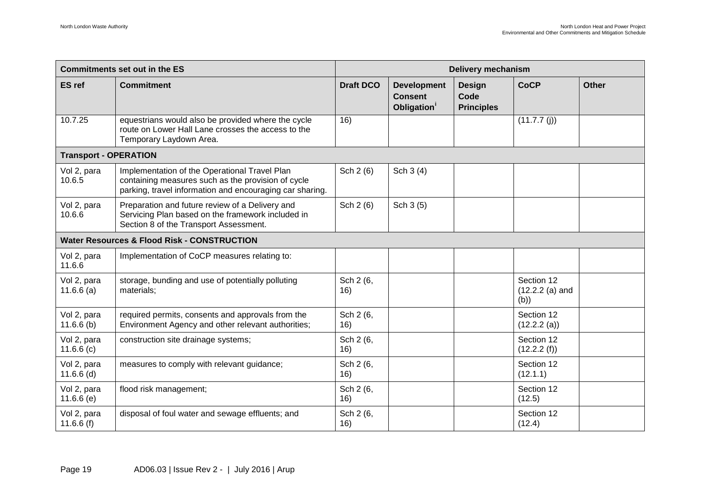| <b>Commitments set out in the ES</b> |                                                                                                                                                                 | <b>Delivery mechanism</b> |                                                                 |                                            |                                        |              |  |
|--------------------------------------|-----------------------------------------------------------------------------------------------------------------------------------------------------------------|---------------------------|-----------------------------------------------------------------|--------------------------------------------|----------------------------------------|--------------|--|
| <b>ES</b> ref                        | <b>Commitment</b>                                                                                                                                               | <b>Draft DCO</b>          | <b>Development</b><br><b>Consent</b><br>Obligation <sup>1</sup> | <b>Design</b><br>Code<br><b>Principles</b> | <b>CoCP</b>                            | <b>Other</b> |  |
| 10.7.25                              | equestrians would also be provided where the cycle<br>route on Lower Hall Lane crosses the access to the<br>Temporary Laydown Area.                             | 16)                       |                                                                 |                                            | (11.7.7(j))                            |              |  |
| <b>Transport - OPERATION</b>         |                                                                                                                                                                 |                           |                                                                 |                                            |                                        |              |  |
| Vol 2, para<br>10.6.5                | Implementation of the Operational Travel Plan<br>containing measures such as the provision of cycle<br>parking, travel information and encouraging car sharing. | Sch 2 (6)                 | Sch 3 (4)                                                       |                                            |                                        |              |  |
| Vol 2, para<br>10.6.6                | Preparation and future review of a Delivery and<br>Servicing Plan based on the framework included in<br>Section 8 of the Transport Assessment.                  | Sch 2 (6)                 | Sch 3 (5)                                                       |                                            |                                        |              |  |
|                                      | <b>Water Resources &amp; Flood Risk - CONSTRUCTION</b>                                                                                                          |                           |                                                                 |                                            |                                        |              |  |
| Vol 2, para<br>11.6.6                | Implementation of CoCP measures relating to:                                                                                                                    |                           |                                                                 |                                            |                                        |              |  |
| Vol 2, para<br>11.6.6(a)             | storage, bunding and use of potentially polluting<br>materials:                                                                                                 | Sch 2 (6,<br>16)          |                                                                 |                                            | Section 12<br>$(12.2.2(a)$ and<br>(b)) |              |  |
| Vol 2, para<br>11.6.6(b)             | required permits, consents and approvals from the<br>Environment Agency and other relevant authorities;                                                         | Sch 2 (6,<br>16)          |                                                                 |                                            | Section 12<br>(12.2.2(a))              |              |  |
| Vol 2, para<br>11.6.6(c)             | construction site drainage systems;                                                                                                                             | Sch 2 (6,<br>16)          |                                                                 |                                            | Section 12<br>(12.2.2(f))              |              |  |
| Vol 2, para<br>$11.6.6$ (d)          | measures to comply with relevant guidance;                                                                                                                      | Sch 2 (6,<br>16)          |                                                                 |                                            | Section 12<br>(12.1.1)                 |              |  |
| Vol 2, para<br>11.6.6(e)             | flood risk management;                                                                                                                                          | Sch 2 (6,<br>16)          |                                                                 |                                            | Section 12<br>(12.5)                   |              |  |
| Vol 2, para<br>11.6.6 $(f)$          | disposal of foul water and sewage effluents; and                                                                                                                | Sch 2 (6,<br>16)          |                                                                 |                                            | Section 12<br>(12.4)                   |              |  |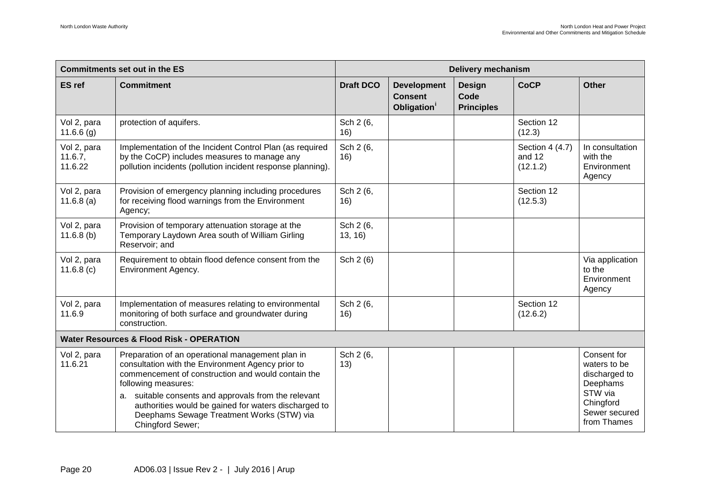| <b>Commitments set out in the ES</b> |                                                                                                                                                                                                                                                                                                                                                 | <b>Delivery mechanism</b> |                                                                 |                                            |                                       |                                                                                                   |  |
|--------------------------------------|-------------------------------------------------------------------------------------------------------------------------------------------------------------------------------------------------------------------------------------------------------------------------------------------------------------------------------------------------|---------------------------|-----------------------------------------------------------------|--------------------------------------------|---------------------------------------|---------------------------------------------------------------------------------------------------|--|
| <b>ES</b> ref                        | <b>Commitment</b>                                                                                                                                                                                                                                                                                                                               | <b>Draft DCO</b>          | <b>Development</b><br><b>Consent</b><br>Obligation <sup>1</sup> | <b>Design</b><br>Code<br><b>Principles</b> | <b>CoCP</b>                           | <b>Other</b>                                                                                      |  |
| Vol 2, para<br>11.6.6(g)             | protection of aquifers.                                                                                                                                                                                                                                                                                                                         | Sch 2 (6,<br>16)          |                                                                 |                                            | Section 12<br>(12.3)                  |                                                                                                   |  |
| Vol 2, para<br>11.6.7,<br>11.6.22    | Implementation of the Incident Control Plan (as required<br>by the CoCP) includes measures to manage any<br>pollution incidents (pollution incident response planning).                                                                                                                                                                         | Sch 2 (6,<br>16)          |                                                                 |                                            | Section 4 (4.7)<br>and 12<br>(12.1.2) | In consultation<br>with the<br>Environment<br>Agency                                              |  |
| Vol 2, para<br>$11.6.8$ (a)          | Provision of emergency planning including procedures<br>for receiving flood warnings from the Environment<br>Agency;                                                                                                                                                                                                                            | Sch 2 (6,<br>16)          |                                                                 |                                            | Section 12<br>(12.5.3)                |                                                                                                   |  |
| Vol 2, para<br>$11.6.8$ (b)          | Provision of temporary attenuation storage at the<br>Temporary Laydown Area south of William Girling<br>Reservoir; and                                                                                                                                                                                                                          | Sch 2 (6,<br>13, 16)      |                                                                 |                                            |                                       |                                                                                                   |  |
| Vol 2, para<br>11.6.8(c)             | Requirement to obtain flood defence consent from the<br><b>Environment Agency.</b>                                                                                                                                                                                                                                                              | Sch 2 (6)                 |                                                                 |                                            |                                       | Via application<br>to the<br>Environment<br>Agency                                                |  |
| Vol 2, para<br>11.6.9                | Implementation of measures relating to environmental<br>monitoring of both surface and groundwater during<br>construction.                                                                                                                                                                                                                      | Sch 2 (6,<br>16)          |                                                                 |                                            | Section 12<br>(12.6.2)                |                                                                                                   |  |
|                                      | <b>Water Resources &amp; Flood Risk - OPERATION</b>                                                                                                                                                                                                                                                                                             |                           |                                                                 |                                            |                                       |                                                                                                   |  |
| Vol 2, para<br>11.6.21               | Preparation of an operational management plan in<br>consultation with the Environment Agency prior to<br>commencement of construction and would contain the<br>following measures:<br>a. suitable consents and approvals from the relevant<br>authorities would be gained for waters discharged to<br>Deephams Sewage Treatment Works (STW) via | Sch 2 (6,<br>13)          |                                                                 |                                            |                                       | Consent for<br>waters to be<br>discharged to<br>Deephams<br>STW via<br>Chingford<br>Sewer secured |  |
|                                      | Chingford Sewer;                                                                                                                                                                                                                                                                                                                                |                           |                                                                 |                                            |                                       | from Thames                                                                                       |  |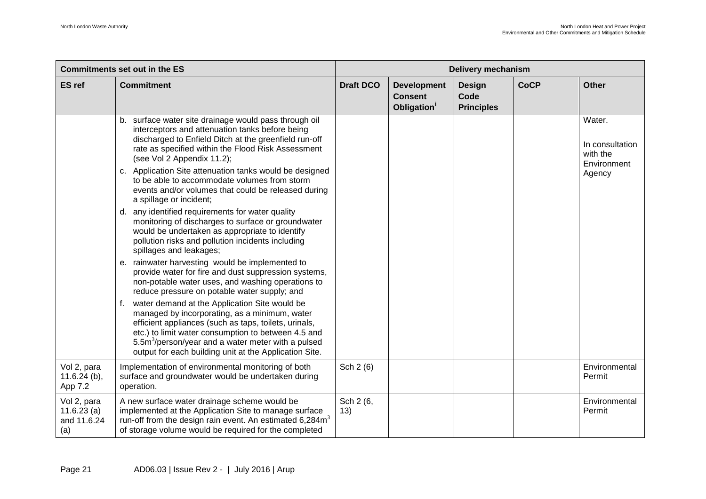| <b>Commitments set out in the ES</b>            |                                                                                                                                                                                                                                                                                                                                            | <b>Delivery mechanism</b> |                                                                 |                                            |             |                                                      |
|-------------------------------------------------|--------------------------------------------------------------------------------------------------------------------------------------------------------------------------------------------------------------------------------------------------------------------------------------------------------------------------------------------|---------------------------|-----------------------------------------------------------------|--------------------------------------------|-------------|------------------------------------------------------|
| <b>ES</b> ref                                   | <b>Commitment</b>                                                                                                                                                                                                                                                                                                                          | <b>Draft DCO</b>          | <b>Development</b><br><b>Consent</b><br>Obligation <sup>1</sup> | <b>Design</b><br>Code<br><b>Principles</b> | <b>CoCP</b> | <b>Other</b>                                         |
|                                                 | b. surface water site drainage would pass through oil<br>interceptors and attenuation tanks before being<br>discharged to Enfield Ditch at the greenfield run-off<br>rate as specified within the Flood Risk Assessment<br>(see Vol 2 Appendix 11.2);                                                                                      |                           |                                                                 |                                            |             | Water.<br>In consultation<br>with the<br>Environment |
|                                                 | c. Application Site attenuation tanks would be designed<br>to be able to accommodate volumes from storm<br>events and/or volumes that could be released during<br>a spillage or incident;                                                                                                                                                  |                           |                                                                 |                                            |             | Agency                                               |
|                                                 | d. any identified requirements for water quality<br>monitoring of discharges to surface or groundwater<br>would be undertaken as appropriate to identify<br>pollution risks and pollution incidents including<br>spillages and leakages;                                                                                                   |                           |                                                                 |                                            |             |                                                      |
|                                                 | e. rainwater harvesting would be implemented to<br>provide water for fire and dust suppression systems,<br>non-potable water uses, and washing operations to<br>reduce pressure on potable water supply; and                                                                                                                               |                           |                                                                 |                                            |             |                                                      |
|                                                 | water demand at the Application Site would be<br>managed by incorporating, as a minimum, water<br>efficient appliances (such as taps, toilets, urinals,<br>etc.) to limit water consumption to between 4.5 and<br>5.5m <sup>3</sup> /person/year and a water meter with a pulsed<br>output for each building unit at the Application Site. |                           |                                                                 |                                            |             |                                                      |
| Vol 2, para<br>$11.6.24$ (b),<br>App 7.2        | Implementation of environmental monitoring of both<br>surface and groundwater would be undertaken during<br>operation.                                                                                                                                                                                                                     | Sch 2 (6)                 |                                                                 |                                            |             | Environmental<br>Permit                              |
| Vol 2, para<br>11.6.23(a)<br>and 11.6.24<br>(a) | A new surface water drainage scheme would be<br>implemented at the Application Site to manage surface<br>run-off from the design rain event. An estimated $6,284m3$<br>of storage volume would be required for the completed                                                                                                               | Sch 2 (6,<br>13)          |                                                                 |                                            |             | Environmental<br>Permit                              |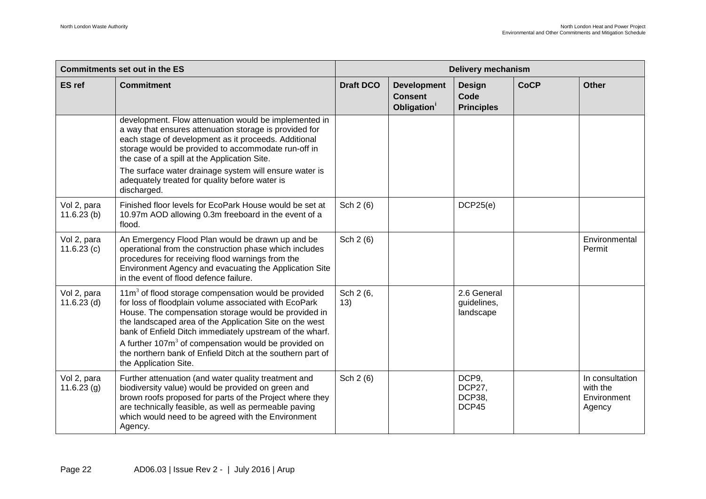| <b>Commitments set out in the ES</b> |                                                                                                                                                                                                                                                                                                                                                                                                                                                           | <b>Delivery mechanism</b> |                                                                 |                                                  |             |                                                      |  |
|--------------------------------------|-----------------------------------------------------------------------------------------------------------------------------------------------------------------------------------------------------------------------------------------------------------------------------------------------------------------------------------------------------------------------------------------------------------------------------------------------------------|---------------------------|-----------------------------------------------------------------|--------------------------------------------------|-------------|------------------------------------------------------|--|
| <b>ES</b> ref                        | <b>Commitment</b>                                                                                                                                                                                                                                                                                                                                                                                                                                         | <b>Draft DCO</b>          | <b>Development</b><br><b>Consent</b><br>Obligation <sup>1</sup> | <b>Design</b><br>Code<br><b>Principles</b>       | <b>CoCP</b> | <b>Other</b>                                         |  |
|                                      | development. Flow attenuation would be implemented in<br>a way that ensures attenuation storage is provided for<br>each stage of development as it proceeds. Additional<br>storage would be provided to accommodate run-off in<br>the case of a spill at the Application Site.                                                                                                                                                                            |                           |                                                                 |                                                  |             |                                                      |  |
|                                      | The surface water drainage system will ensure water is<br>adequately treated for quality before water is<br>discharged.                                                                                                                                                                                                                                                                                                                                   |                           |                                                                 |                                                  |             |                                                      |  |
| Vol 2, para<br>11.6.23(b)            | Finished floor levels for EcoPark House would be set at<br>10.97m AOD allowing 0.3m freeboard in the event of a<br>flood.                                                                                                                                                                                                                                                                                                                                 | Sch 2 (6)                 |                                                                 | DCP25(e)                                         |             |                                                      |  |
| Vol 2, para<br>11.6.23(c)            | An Emergency Flood Plan would be drawn up and be<br>operational from the construction phase which includes<br>procedures for receiving flood warnings from the<br>Environment Agency and evacuating the Application Site<br>in the event of flood defence failure.                                                                                                                                                                                        | Sch 2 (6)                 |                                                                 |                                                  |             | Environmental<br>Permit                              |  |
| Vol 2, para<br>$11.6.23$ (d)         | $11m3$ of flood storage compensation would be provided<br>for loss of floodplain volume associated with EcoPark<br>House. The compensation storage would be provided in<br>the landscaped area of the Application Site on the west<br>bank of Enfield Ditch immediately upstream of the wharf.<br>A further 107m <sup>3</sup> of compensation would be provided on<br>the northern bank of Enfield Ditch at the southern part of<br>the Application Site. | Sch 2 (6,<br>13)          |                                                                 | 2.6 General<br>guidelines,<br>landscape          |             |                                                      |  |
| Vol 2, para<br>11.6.23(g)            | Further attenuation (and water quality treatment and<br>biodiversity value) would be provided on green and<br>brown roofs proposed for parts of the Project where they<br>are technically feasible, as well as permeable paving<br>which would need to be agreed with the Environment<br>Agency.                                                                                                                                                          | Sch 2 (6)                 |                                                                 | DCP9,<br><b>DCP27.</b><br><b>DCP38.</b><br>DCP45 |             | In consultation<br>with the<br>Environment<br>Agency |  |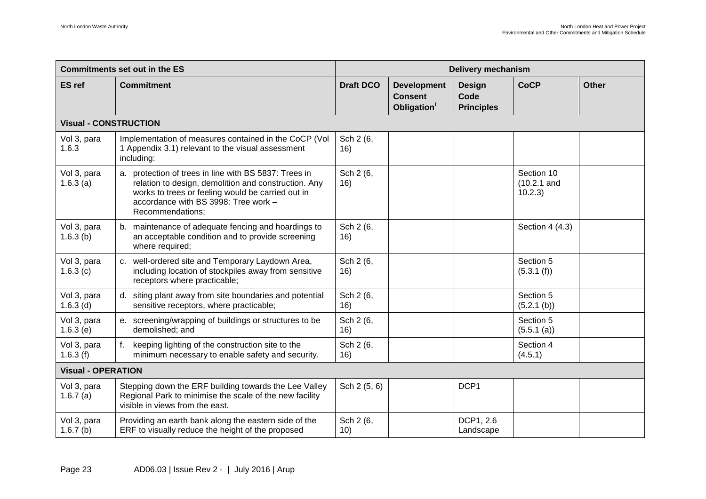| <b>Commitments set out in the ES</b> |                                                                                                                                                                                                                                | <b>Delivery mechanism</b> |                                                                 |                                            |                                       |              |  |
|--------------------------------------|--------------------------------------------------------------------------------------------------------------------------------------------------------------------------------------------------------------------------------|---------------------------|-----------------------------------------------------------------|--------------------------------------------|---------------------------------------|--------------|--|
| <b>ES</b> ref                        | <b>Commitment</b>                                                                                                                                                                                                              | <b>Draft DCO</b>          | <b>Development</b><br><b>Consent</b><br>Obligation <sup>1</sup> | <b>Design</b><br>Code<br><b>Principles</b> | <b>CoCP</b>                           | <b>Other</b> |  |
| <b>Visual - CONSTRUCTION</b>         |                                                                                                                                                                                                                                |                           |                                                                 |                                            |                                       |              |  |
| Vol 3, para<br>1.6.3                 | Implementation of measures contained in the CoCP (Vol<br>1 Appendix 3.1) relevant to the visual assessment<br>including:                                                                                                       | Sch 2 (6,<br>16)          |                                                                 |                                            |                                       |              |  |
| Vol 3, para<br>1.6.3(a)              | a. protection of trees in line with BS 5837: Trees in<br>relation to design, demolition and construction. Any<br>works to trees or feeling would be carried out in<br>accordance with BS 3998: Tree work -<br>Recommendations; | Sch 2 (6,<br>16)          |                                                                 |                                            | Section 10<br>$(10.2.1$ and<br>10.2.3 |              |  |
| Vol 3, para<br>1.6.3(b)              | b. maintenance of adequate fencing and hoardings to<br>an acceptable condition and to provide screening<br>where required;                                                                                                     | Sch 2 (6,<br>16)          |                                                                 |                                            | Section 4 (4.3)                       |              |  |
| Vol 3, para<br>1.6.3(c)              | c. well-ordered site and Temporary Laydown Area,<br>including location of stockpiles away from sensitive<br>receptors where practicable;                                                                                       | Sch 2 (6,<br>16)          |                                                                 |                                            | Section 5<br>(5.3.1(f))               |              |  |
| Vol 3, para<br>$1.6.3$ (d)           | d. siting plant away from site boundaries and potential<br>sensitive receptors, where practicable;                                                                                                                             | Sch 2 (6,<br>16)          |                                                                 |                                            | Section 5<br>(5.2.1 (b))              |              |  |
| Vol 3, para<br>1.6.3(e)              | e. screening/wrapping of buildings or structures to be<br>demolished; and                                                                                                                                                      | Sch 2 (6,<br>16)          |                                                                 |                                            | Section 5<br>(5.5.1 (a))              |              |  |
| Vol 3, para<br>1.6.3(f)              | f. keeping lighting of the construction site to the<br>minimum necessary to enable safety and security.                                                                                                                        | Sch 2 (6,<br>16)          |                                                                 |                                            | Section 4<br>(4.5.1)                  |              |  |
| <b>Visual - OPERATION</b>            |                                                                                                                                                                                                                                |                           |                                                                 |                                            |                                       |              |  |
| Vol 3, para<br>1.6.7(a)              | Stepping down the ERF building towards the Lee Valley<br>Regional Park to minimise the scale of the new facility<br>visible in views from the east.                                                                            | Sch 2 (5, 6)              |                                                                 | DCP1                                       |                                       |              |  |
| Vol 3, para<br>1.6.7(b)              | Providing an earth bank along the eastern side of the<br>ERF to visually reduce the height of the proposed                                                                                                                     | Sch 2 (6,<br>10)          |                                                                 | DCP1, 2.6<br>Landscape                     |                                       |              |  |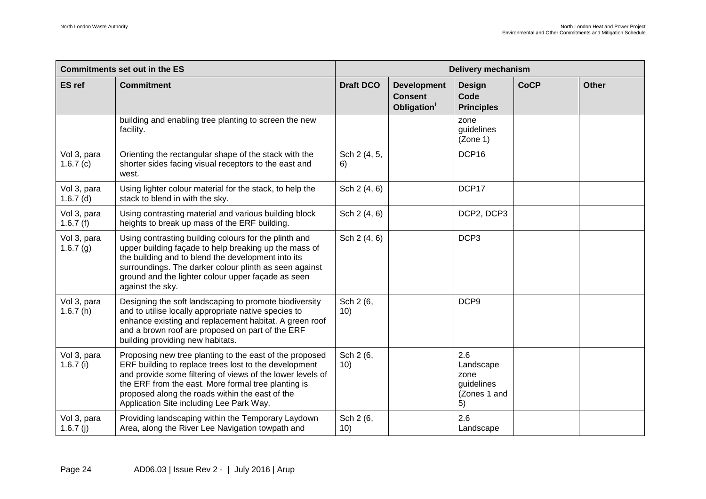| <b>Commitments set out in the ES</b> |                                                                                                                                                                                                                                                                                                                                      | <b>Delivery mechanism</b> |                                                                 |                                                              |             |              |  |
|--------------------------------------|--------------------------------------------------------------------------------------------------------------------------------------------------------------------------------------------------------------------------------------------------------------------------------------------------------------------------------------|---------------------------|-----------------------------------------------------------------|--------------------------------------------------------------|-------------|--------------|--|
| <b>ES</b> ref                        | <b>Commitment</b>                                                                                                                                                                                                                                                                                                                    | <b>Draft DCO</b>          | <b>Development</b><br><b>Consent</b><br>Obligation <sup>1</sup> | <b>Design</b><br>Code<br><b>Principles</b>                   | <b>CoCP</b> | <b>Other</b> |  |
|                                      | building and enabling tree planting to screen the new<br>facility.                                                                                                                                                                                                                                                                   |                           |                                                                 | zone<br>guidelines<br>(Zone 1)                               |             |              |  |
| Vol 3, para<br>1.6.7(c)              | Orienting the rectangular shape of the stack with the<br>shorter sides facing visual receptors to the east and<br>west.                                                                                                                                                                                                              | Sch 2 (4, 5,<br>6)        |                                                                 | DCP16                                                        |             |              |  |
| Vol 3, para<br>$1.6.7$ (d)           | Using lighter colour material for the stack, to help the<br>stack to blend in with the sky.                                                                                                                                                                                                                                          | Sch 2 (4, 6)              |                                                                 | DCP17                                                        |             |              |  |
| Vol 3, para<br>1.6.7(f)              | Using contrasting material and various building block<br>heights to break up mass of the ERF building.                                                                                                                                                                                                                               | Sch 2 (4, 6)              |                                                                 | DCP2, DCP3                                                   |             |              |  |
| Vol 3, para<br>1.6.7(g)              | Using contrasting building colours for the plinth and<br>upper building façade to help breaking up the mass of<br>the building and to blend the development into its<br>surroundings. The darker colour plinth as seen against<br>ground and the lighter colour upper façade as seen<br>against the sky.                             | Sch 2 (4, 6)              |                                                                 | DCP3                                                         |             |              |  |
| Vol 3, para<br>1.6.7(h)              | Designing the soft landscaping to promote biodiversity<br>and to utilise locally appropriate native species to<br>enhance existing and replacement habitat. A green roof<br>and a brown roof are proposed on part of the ERF<br>building providing new habitats.                                                                     | Sch 2 (6,<br>10)          |                                                                 | DCP <sub>9</sub>                                             |             |              |  |
| Vol 3, para<br>$1.6.7$ (i)           | Proposing new tree planting to the east of the proposed<br>ERF building to replace trees lost to the development<br>and provide some filtering of views of the lower levels of<br>the ERF from the east. More formal tree planting is<br>proposed along the roads within the east of the<br>Application Site including Lee Park Way. | Sch 2 (6,<br>10)          |                                                                 | 2.6<br>Landscape<br>zone<br>guidelines<br>(Zones 1 and<br>5) |             |              |  |
| Vol 3, para<br>1.6.7 $(i)$           | Providing landscaping within the Temporary Laydown<br>Area, along the River Lee Navigation towpath and                                                                                                                                                                                                                               | Sch 2 (6,<br>10)          |                                                                 | 2.6<br>Landscape                                             |             |              |  |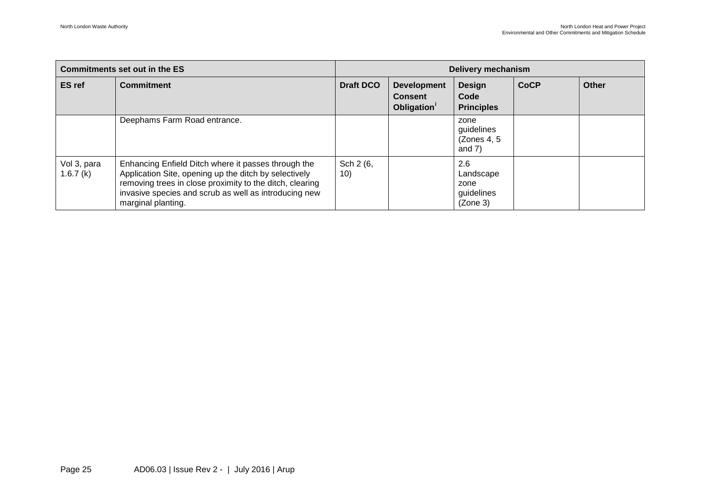| Commitments set out in the ES |                                                                                                                                                                                                                                                         | <b>Delivery mechanism</b> |                                                                 |                                                    |             |       |
|-------------------------------|---------------------------------------------------------------------------------------------------------------------------------------------------------------------------------------------------------------------------------------------------------|---------------------------|-----------------------------------------------------------------|----------------------------------------------------|-------------|-------|
| <b>ES</b> ref                 | <b>Commitment</b>                                                                                                                                                                                                                                       | <b>Draft DCO</b>          | <b>Development</b><br><b>Consent</b><br>Obligation <sup>1</sup> | <b>Design</b><br>Code<br><b>Principles</b>         | <b>CoCP</b> | Other |
|                               | Deephams Farm Road entrance.                                                                                                                                                                                                                            |                           |                                                                 | zone<br>guidelines<br>(Zones 4, 5)<br>and $7)$     |             |       |
| Vol 3, para<br>1.6.7(k)       | Enhancing Enfield Ditch where it passes through the<br>Application Site, opening up the ditch by selectively<br>removing trees in close proximity to the ditch, clearing<br>invasive species and scrub as well as introducing new<br>marginal planting. | Sch 2 (6,<br>10)          |                                                                 | 2.6<br>Landscape<br>zone<br>guidelines<br>(Zone 3) |             |       |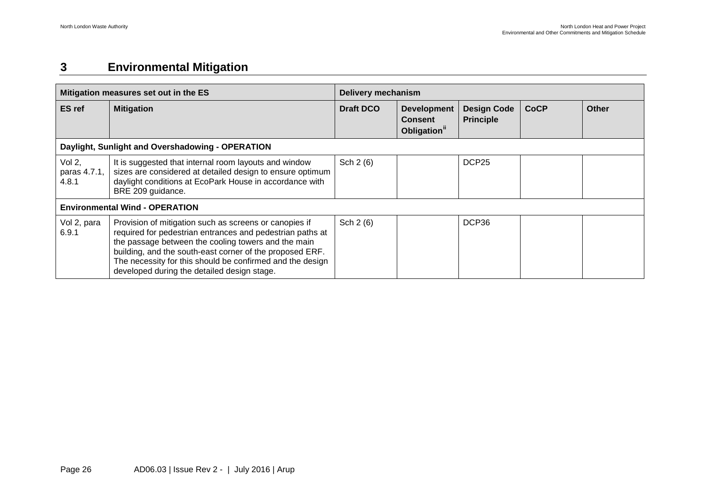## <span id="page-26-0"></span>**3 Environmental Mitigation**

| Mitigation measures set out in the ES |                                                                                                                                                                                                                                                                                                                                                    | <b>Delivery mechanism</b> |                                                                  |                                        |             |              |  |
|---------------------------------------|----------------------------------------------------------------------------------------------------------------------------------------------------------------------------------------------------------------------------------------------------------------------------------------------------------------------------------------------------|---------------------------|------------------------------------------------------------------|----------------------------------------|-------------|--------------|--|
| <b>ES</b> ref                         | <b>Mitigation</b>                                                                                                                                                                                                                                                                                                                                  | <b>Draft DCO</b>          | <b>Development</b><br><b>Consent</b><br>Obligation <sup>ii</sup> | <b>Design Code</b><br><b>Principle</b> | <b>CoCP</b> | <b>Other</b> |  |
|                                       | Daylight, Sunlight and Overshadowing - OPERATION                                                                                                                                                                                                                                                                                                   |                           |                                                                  |                                        |             |              |  |
| Vol 2,<br>paras 4.7.1,<br>4.8.1       | It is suggested that internal room layouts and window<br>sizes are considered at detailed design to ensure optimum<br>daylight conditions at EcoPark House in accordance with<br>BRE 209 guidance.                                                                                                                                                 | Sch 2 (6)                 |                                                                  | DCP <sub>25</sub>                      |             |              |  |
| <b>Environmental Wind - OPERATION</b> |                                                                                                                                                                                                                                                                                                                                                    |                           |                                                                  |                                        |             |              |  |
| Vol 2, para<br>6.9.1                  | Provision of mitigation such as screens or canopies if<br>required for pedestrian entrances and pedestrian paths at<br>the passage between the cooling towers and the main<br>building, and the south-east corner of the proposed ERF.<br>The necessity for this should be confirmed and the design<br>developed during the detailed design stage. | Sch 2 (6)                 |                                                                  | DCP36                                  |             |              |  |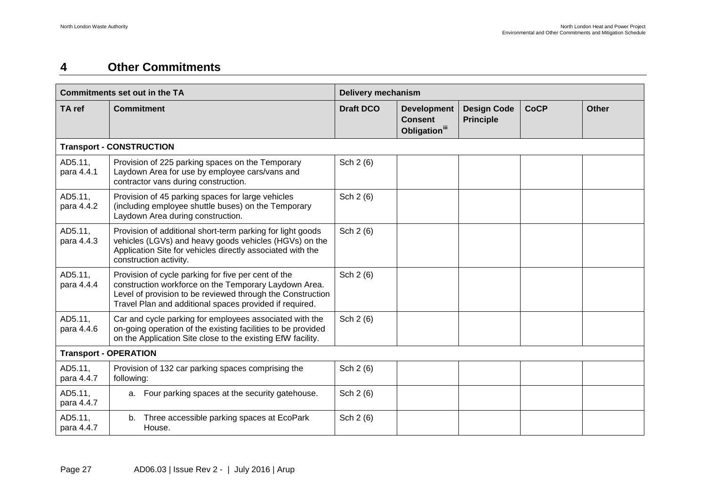### <span id="page-27-0"></span>**4 Other Commitments**

| <b>Commitments set out in the TA</b> |                                                                                                                                                                                                                                       | <b>Delivery mechanism</b> |                                                                   |                                        |             |       |  |
|--------------------------------------|---------------------------------------------------------------------------------------------------------------------------------------------------------------------------------------------------------------------------------------|---------------------------|-------------------------------------------------------------------|----------------------------------------|-------------|-------|--|
| TA ref                               | <b>Commitment</b>                                                                                                                                                                                                                     | <b>Draft DCO</b>          | <b>Development</b><br><b>Consent</b><br>Obligation <sup>iii</sup> | <b>Design Code</b><br><b>Principle</b> | <b>CoCP</b> | Other |  |
|                                      | <b>Transport - CONSTRUCTION</b>                                                                                                                                                                                                       |                           |                                                                   |                                        |             |       |  |
| AD5.11,<br>para 4.4.1                | Provision of 225 parking spaces on the Temporary<br>Laydown Area for use by employee cars/vans and<br>contractor vans during construction.                                                                                            | Sch 2 (6)                 |                                                                   |                                        |             |       |  |
| AD5.11,<br>para 4.4.2                | Provision of 45 parking spaces for large vehicles<br>(including employee shuttle buses) on the Temporary<br>Laydown Area during construction.                                                                                         | Sch 2 (6)                 |                                                                   |                                        |             |       |  |
| AD5.11,<br>para 4.4.3                | Provision of additional short-term parking for light goods<br>vehicles (LGVs) and heavy goods vehicles (HGVs) on the<br>Application Site for vehicles directly associated with the<br>construction activity.                          | Sch 2 (6)                 |                                                                   |                                        |             |       |  |
| AD5.11,<br>para 4.4.4                | Provision of cycle parking for five per cent of the<br>construction workforce on the Temporary Laydown Area.<br>Level of provision to be reviewed through the Construction<br>Travel Plan and additional spaces provided if required. | Sch 2 (6)                 |                                                                   |                                        |             |       |  |
| AD5.11.<br>para 4.4.6                | Car and cycle parking for employees associated with the<br>on-going operation of the existing facilities to be provided<br>on the Application Site close to the existing EfW facility.                                                | Sch 2 (6)                 |                                                                   |                                        |             |       |  |
| <b>Transport - OPERATION</b>         |                                                                                                                                                                                                                                       |                           |                                                                   |                                        |             |       |  |
| AD5.11,<br>para 4.4.7                | Provision of 132 car parking spaces comprising the<br>following:                                                                                                                                                                      | Sch 2 (6)                 |                                                                   |                                        |             |       |  |
| AD5.11,<br>para 4.4.7                | a. Four parking spaces at the security gatehouse.                                                                                                                                                                                     | Sch 2 (6)                 |                                                                   |                                        |             |       |  |
| AD5.11,<br>para 4.4.7                | Three accessible parking spaces at EcoPark<br>b.<br>House.                                                                                                                                                                            | Sch 2 (6)                 |                                                                   |                                        |             |       |  |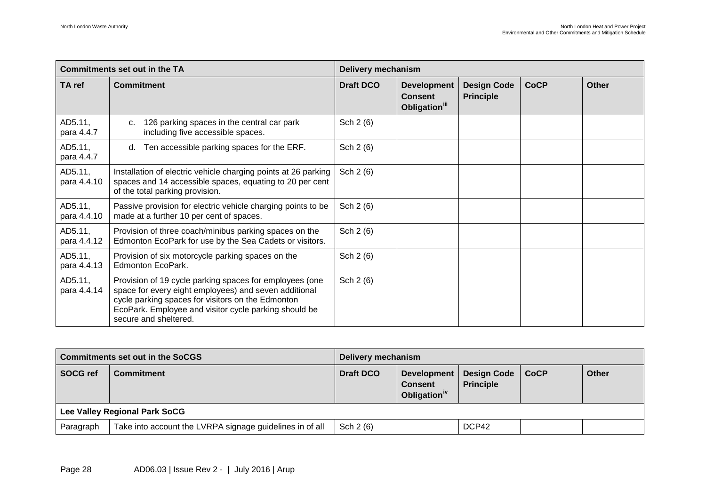| <b>Commitments set out in the TA</b> |                                                                                                                                                                                                                                                         | <b>Delivery mechanism</b> |                                                                   |                                        |             |       |  |
|--------------------------------------|---------------------------------------------------------------------------------------------------------------------------------------------------------------------------------------------------------------------------------------------------------|---------------------------|-------------------------------------------------------------------|----------------------------------------|-------------|-------|--|
| TA ref                               | <b>Commitment</b>                                                                                                                                                                                                                                       | <b>Draft DCO</b>          | <b>Development</b><br><b>Consent</b><br>Obligation <sup>iii</sup> | <b>Design Code</b><br><b>Principle</b> | <b>CoCP</b> | Other |  |
| AD5.11,<br>para 4.4.7                | 126 parking spaces in the central car park<br>C.<br>including five accessible spaces.                                                                                                                                                                   | Sch 2 (6)                 |                                                                   |                                        |             |       |  |
| AD5.11,<br>para 4.4.7                | d. Ten accessible parking spaces for the ERF.                                                                                                                                                                                                           | Sch 2 (6)                 |                                                                   |                                        |             |       |  |
| AD5.11,<br>para 4.4.10               | Installation of electric vehicle charging points at 26 parking<br>spaces and 14 accessible spaces, equating to 20 per cent<br>of the total parking provision.                                                                                           | Sch 2 (6)                 |                                                                   |                                        |             |       |  |
| AD5.11,<br>para 4.4.10               | Passive provision for electric vehicle charging points to be<br>made at a further 10 per cent of spaces.                                                                                                                                                | Sch 2 (6)                 |                                                                   |                                        |             |       |  |
| AD5.11,<br>para 4.4.12               | Provision of three coach/minibus parking spaces on the<br>Edmonton EcoPark for use by the Sea Cadets or visitors.                                                                                                                                       | Sch 2 (6)                 |                                                                   |                                        |             |       |  |
| AD5.11,<br>para 4.4.13               | Provision of six motorcycle parking spaces on the<br>Edmonton EcoPark.                                                                                                                                                                                  | Sch 2 (6)                 |                                                                   |                                        |             |       |  |
| AD5.11,<br>para 4.4.14               | Provision of 19 cycle parking spaces for employees (one<br>space for every eight employees) and seven additional<br>cycle parking spaces for visitors on the Edmonton<br>EcoPark. Employee and visitor cycle parking should be<br>secure and sheltered. | Sch 2 (6)                 |                                                                   |                                        |             |       |  |

| <b>Commitments set out in the SoCGS</b> |                                                          | Delivery mechanism |                                                                  |                                        |             |       |  |
|-----------------------------------------|----------------------------------------------------------|--------------------|------------------------------------------------------------------|----------------------------------------|-------------|-------|--|
| <b>SOCG ref</b>                         | <b>Commitment</b>                                        | <b>Draft DCO</b>   | <b>Development</b><br><b>Consent</b><br>Obligation <sup>iv</sup> | <b>Design Code</b><br><b>Principle</b> | $\mid$ CoCP | Other |  |
| Lee Valley Regional Park SoCG           |                                                          |                    |                                                                  |                                        |             |       |  |
| Paragraph                               | Take into account the LVRPA signage guidelines in of all | Sch $2(6)$         |                                                                  | DCP42                                  |             |       |  |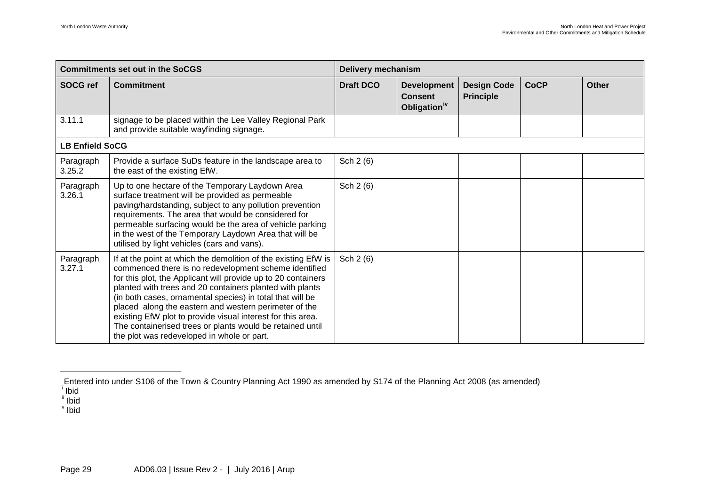<span id="page-29-3"></span><span id="page-29-2"></span><span id="page-29-1"></span><span id="page-29-0"></span>

| <b>Commitments set out in the SoCGS</b> |                                                                                                                                                                                                                                                                                                                                                                                                                                                                                                                                                      | <b>Delivery mechanism</b> |                                                                  |                                        |             |              |  |
|-----------------------------------------|------------------------------------------------------------------------------------------------------------------------------------------------------------------------------------------------------------------------------------------------------------------------------------------------------------------------------------------------------------------------------------------------------------------------------------------------------------------------------------------------------------------------------------------------------|---------------------------|------------------------------------------------------------------|----------------------------------------|-------------|--------------|--|
| <b>SOCG ref</b>                         | <b>Commitment</b>                                                                                                                                                                                                                                                                                                                                                                                                                                                                                                                                    | <b>Draft DCO</b>          | <b>Development</b><br><b>Consent</b><br>Obligation <sup>iv</sup> | <b>Design Code</b><br><b>Principle</b> | <b>CoCP</b> | <b>Other</b> |  |
| 3.11.1                                  | signage to be placed within the Lee Valley Regional Park<br>and provide suitable wayfinding signage.                                                                                                                                                                                                                                                                                                                                                                                                                                                 |                           |                                                                  |                                        |             |              |  |
| <b>LB Enfield SoCG</b>                  |                                                                                                                                                                                                                                                                                                                                                                                                                                                                                                                                                      |                           |                                                                  |                                        |             |              |  |
| Paragraph<br>3.25.2                     | Provide a surface SuDs feature in the landscape area to<br>the east of the existing EfW.                                                                                                                                                                                                                                                                                                                                                                                                                                                             | Sch 2 (6)                 |                                                                  |                                        |             |              |  |
| Paragraph<br>3.26.1                     | Up to one hectare of the Temporary Laydown Area<br>surface treatment will be provided as permeable<br>paving/hardstanding, subject to any pollution prevention<br>requirements. The area that would be considered for<br>permeable surfacing would be the area of vehicle parking<br>in the west of the Temporary Laydown Area that will be<br>utilised by light vehicles (cars and vans).                                                                                                                                                           | Sch 2 (6)                 |                                                                  |                                        |             |              |  |
| Paragraph<br>3.27.1                     | If at the point at which the demolition of the existing EfW is<br>commenced there is no redevelopment scheme identified<br>for this plot, the Applicant will provide up to 20 containers<br>planted with trees and 20 containers planted with plants<br>(in both cases, ornamental species) in total that will be<br>placed along the eastern and western perimeter of the<br>existing EfW plot to provide visual interest for this area.<br>The containerised trees or plants would be retained until<br>the plot was redeveloped in whole or part. | Sch 2 (6)                 |                                                                  |                                        |             |              |  |

i Entered into under S106 of the Town & Country Planning Act 1990 as amended by S174 of the Planning Act 2008 (as amended)<br><sup>ii</sup> Ibid

<sup>&</sup>lt;sup>iii</sup> Ibid

iv Ibid